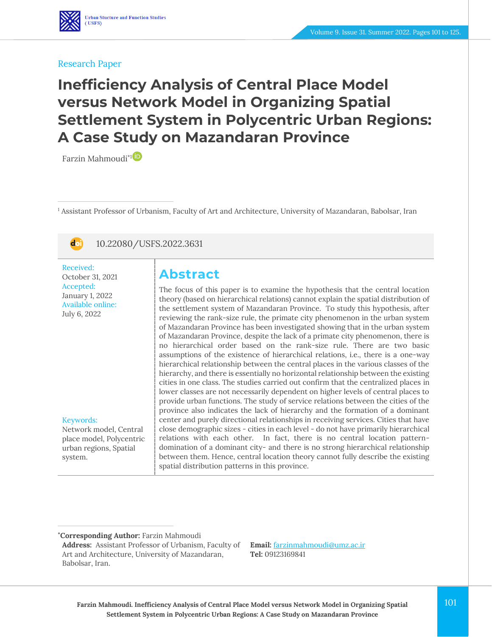#### Research Paper

# **Inefficiency Analysis of Central Place Model versus Network Model in Organizing Spatial Settlement System in Polycentric Urban Regions: A Case Study on Mazandaran Province**

Farzin Mahmoudi\*[1](https://www.orcid.org/0000-0002-6886-5065)

<sup>1</sup> Assistant Professor of Urbanism, Faculty of Art and Architecture, University of Mazandaran, Babolsar, Iran



10.22080/USFS.2022.3631

Received: October 31, 2021 Accepted: January 1, 2022 Available online: July 6, 2022

Keywords:

system.

Network model, Central place model, Polycentric urban regions, Spatial

## **Abstract**

The focus of this paper is to examine the hypothesis that the central location theory (based on hierarchical relations) cannot explain the spatial distribution of the settlement system of Mazandaran Province. To study this hypothesis, after reviewing the rank-size rule, the primate city phenomenon in the urban system of Mazandaran Province has been investigated showing that in the urban system of Mazandaran Province, despite the lack of a primate city phenomenon, there is no hierarchical order based on the rank-size rule. There are two basic assumptions of the existence of hierarchical relations, i.e., there is a one-way hierarchical relationship between the central places in the various classes of the hierarchy, and there is essentially no horizontal relationship between the existing cities in one class. The studies carried out confirm that the centralized places in lower classes are not necessarily dependent on higher levels of central places to provide urban functions. The study of service relations between the cities of the province also indicates the lack of hierarchy and the formation of a dominant center and purely directional relationships in receiving services. Cities that have close demographic sizes - cities in each level - do not have primarily hierarchical relations with each other. In fact, there is no central location patterndomination of a dominant city- and there is no strong hierarchical relationship between them. Hence, central location theory cannot fully describe the existing spatial distribution patterns in this province.

**\*Corresponding Author:** Farzin Mahmoudi

**Email:** [farzinmahmoudi@umz.ac.ir](file:///C:/Users/farha/Desktop/UFTS-01-1401/Temp/farzinmahmoudi@umz.ac.ir) **Tel:** 09123169841

**Address:** Assistant Professor of Urbanism, Faculty of Art and Architecture, University of Mazandaran, Babolsar, Iran.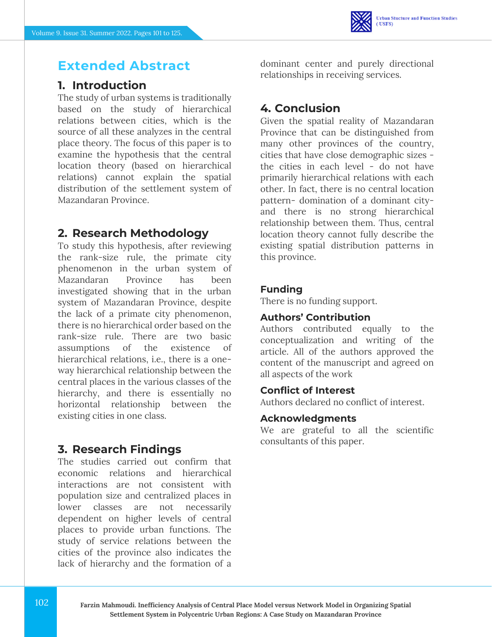## **Extended Abstract**

### **1. Introduction**

The study of urban systems is traditionally based on the study of hierarchical relations between cities, which is the source of all these analyzes in the central place theory. The focus of this paper is to examine the hypothesis that the central location theory (based on hierarchical relations) cannot explain the spatial distribution of the settlement system of Mazandaran Province.

### **2. Research Methodology**

To study this hypothesis, after reviewing the rank-size rule, the primate city phenomenon in the urban system of Mazandaran Province has been investigated showing that in the urban system of Mazandaran Province, despite the lack of a primate city phenomenon, there is no hierarchical order based on the rank-size rule. There are two basic assumptions of the existence of hierarchical relations, *i.e.*, there is a oneway hierarchical relationship between the central places in the various classes of the hierarchy, and there is essentially no horizontal relationship between the existing cities in one class.

### **3. Research Findings**

The studies carried out confirm that economic relations and hierarchical interactions are not consistent with population size and centralized places in lower classes are not necessarily dependent on higher levels of central places to provide urban functions. The study of service relations between the cities of the province also indicates the lack of hierarchy and the formation of a

dominant center and purely directional relationships in receiving services.

## **4. Conclusion**

Given the spatial reality of Mazandaran Province that can be distinguished from many other provinces of the country, cities that have close demographic sizes the cities in each level - do not have primarily hierarchical relations with each other. In fact, there is no central location pattern- domination of a dominant cityand there is no strong hierarchical relationship between them. Thus, central location theory cannot fully describe the existing spatial distribution patterns in this province.

#### **Funding**

There is no funding support.

#### **Authors' Contribution**

Authors contributed equally to the conceptualization and writing of the article. All of the authors approved the content of the manuscript and agreed on all aspects of the work

### **Conflict of Interest**

Authors declared no conflict of interest.

#### **Acknowledgments**

We are grateful to all the scientific consultants of this paper.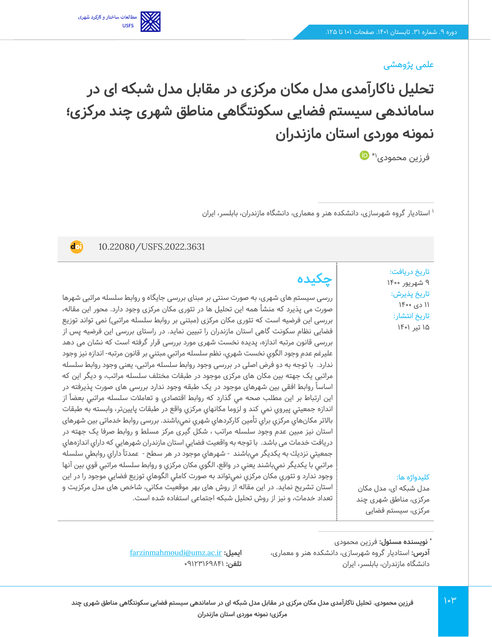### علمی پژوهشی

**تحلیل ناکارآمدی مدل مکان مرکزی در مقابل مدل شبکه ای در ساماندهی سیستم فضایی سکونتگاهی مناطق شهری چند مرکزی؛ نمونه موردی استان مازندران** 

 $\bigoplus^*$  فرزین محمودی $^{\mathfrak{t}\star}$ 

1 استادیار گروه شهرسازی، دانشکده هنر و معماری، دانشگاه مازندران، بابلسر، ایران

10.22080/USFS.2022.3631

**doi** 

مطالعات ساختار و كاركرد شهرى

تاریخ دریافت: 9 شهریور 1400 تاریخ پذیرش : 11 دی 1400 تاریخ انتشار: 15 تیر 1401

**چکیده**

ررسی سیستم های شهری، به صورت سنتی بر مبنای بررسی جایگاه و روابط سلسله مراتبی شهرها صورت می پذیرد که منشأ همه این تحلیل ها در تئوری مکان مرکزی وجود دارد. محور این مقاله، بررسی این فرضیه است که تئوری مکان مرکزی (مبتنی بر روابط سلسله مراتبی) نمی تواند توزیع فضایی نظام سکونت گاهی استان مازندران را تبیین نماید. در راستای بررسی این فرضیه پس از بررسی قانون مرتبه اندازه، پدیده نخست شهری مورد بررسی قرار گرفته است که نشان می دهد عليرغم عدم وجود الگوي نخست شهري، نظم سلسله مراتبي مبتني بر قانون مرتبه- اندازه نيز وجود ندارد. با توجه به دو فرض اصلی در بررسی وجود روابط سلسله مراتبی، یعنی وجود روابط سلسله مراتبی یک جهته بین مکان های مرکزی موجود در طبقات مختلف سلسله مراتب، و دیگر این که اساسا روابط افقی بین شهرهای موجود در یک طبقه وجود ندارد بررسی های صورت پذیرفته در این ارتباط بر این مطلب صحه مي گذارد كه روابط اقتصادي و تعاملات سلسله مراتبي بعضاً از اندازه جمعيتي پيروي نمي كند و لزوما مكانهاي مركزي واقع در طبقات پايينتر، وابسته به طبقات باالتر مكانهاي مركزي براي تأمين كاركردهاي شهري نميباشند. بررسی روابط خدماتی بین شهرهای استان نیز مبین عدم وجود سلسله مراتب ، شکل گیری مرکز مسلط و روابط صرفا یک جهته در دریافت خدمات می باشد. با توجه به واقعيت فضايي استان مازندران شهرهايي كه داراي اندازههاي جمعيتي نزديك به يكديگر ميباشند - شهرهاي موجود در هر سطح - عمدتاً داراي روابطي سلسله مراتبي با يكديگر نميباشند يعني در واقع، الگوي مكان مركزي و روابط سلسله مراتبي قوي بين آنها وجود ندارد و تئوري مكان مركزي نميتواند به صورت كاملي الگوهاي توزيع فضايي موجود را در اين استان تشريح نمايد. در این مقاله از روش های بهر موقعیت مکانی، شاخص های مدل مرکزیت و تعداد خدمات، و نیز از روش تحلیل شبکه اجتماعی استفاده شده است.

کلیدواژه ها: مدل شبکه ای، مدل مکان مرکزی، مناطق شهری چند

مرکزی، سیستم فضایی

**:** فرزین محمودی **\* نویسنده مسئول آدرس:** استادیار گروه شهرسازی، دانشکده هنر و معماری، دانشگاه مازندران، بابلسر، ایران

[farzinmahmoudi@umz.ac.ir](file:///C:/Users/farha/Desktop/UFTS-01-1401/Temp/farzinmahmoudi@umz.ac.ir) **:ایمیل تلفن:** 09123169841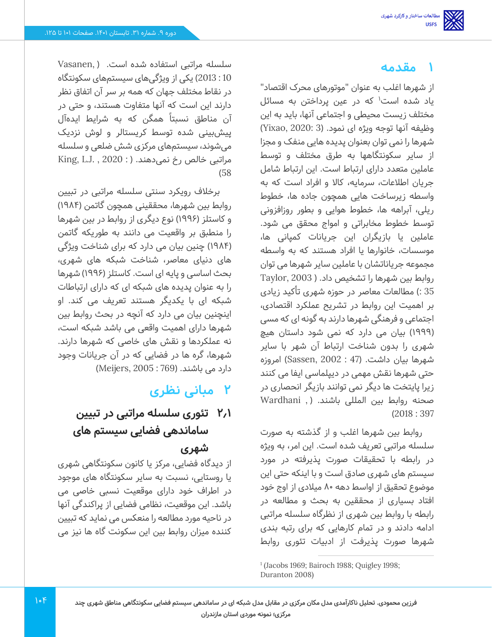### **1 مقدمه**

از شهرها اغلب به عنوان "موتورهای محرک اقتصاد" یاد شده است<sup>۱</sup> که در عین پرداختن به مسائل مختلف زیست محیطی و اجتماعی آنها، باید به این وظیفه آنها توجه ویژه ای نمود. (3 :Yixao, 2020) شهرها را نمی توان بعنوان پدیده هایی منفک و مجزا از سایر سکونتگاهها به طرق مختلف و توسط عاملین متعدد دارای ارتباط است. این ارتباط شامل جریان اطالعات، سرمایه، کاال و افراد است که به واسطه زیرساخت هایی همچون جاده ها، خطوط ریلی، آبراهه ها، خطوط هوایی و بطور روزافزونی توسط خطوط مخابراتی و امواج محقق می شود. عاملین یا بازیگران این جریانات کمپانی ها، موسسات، خانوارها یا افراد هستند که به واسطه مجموعه جریاناتشان با عاملین سایر شهرها می توان روابط بین شهرها را تشخیص داد. ) 2003 ,Taylor 35 :( مطالعات معاصر در حوزه شهری تأکید زیادی بر اهمیت این روابط در تشریح عملکرد اقتصادی، اجتماعی و فرهنگی شهرها دارند به گونه ای که مسی )1999( بیان می دارد که نمی شود داستان هیچ شهری را بدون شناخت ارتباط آن شهر با سایر شهرها بیان داشت. )47 : 2002 ,Sassen )امروزه حتی شهرها نقش مهمی در دیپلماسی ایفا می کنند زیرا پایتخت ها دیگر نمی توانند بازیگر انحصاری در صحنه روابط بین المللی باشند. ) , Wardhani )2018 : 397

روابط بین شهرها اغلب و از گذشته به صورت سلسله مراتبی تعریف شده است. این امر، به ویژه در رابطه با تحقیقات صورت پذیرفته در مورد سیستم های شهری صادق است و با اینکه حتی این موضوع تحقیق از اواسط دهه 80 میالدی از اوج خود افتاد بسیاری از محق قین به بحث و مطالعه در رابطه با روابط بین شهری از نظرگاه سلسله مراتبی ادامه دادند و در تمام کارهایی که برای رتبه بندی شهرها صورت پذیرفت از ادبیات تئوری روابط

سلسله مراتبی استفاده شده است. ) ,Vasanen 10 : 2013( یکی از ویژگی های سیستمهای سکونتگاه در نقاط مختلف جهان که همه بر سر آن اتفاق نظر دارند این است که آنها متفاوت هستند، و حتی در آن مناطق نسبتاً همگن که به شرایط ایدهآل پیش بینی شده توسط کریستالر و لوش نزدیک میشوند، سیستم های مرکزی شش ضلعی و سلسله مراتبی خالص رخ نمی دهند. (: 2020 , .King, L.J )58

برخالف رویکرد سنتی سلسله مراتبی در تبیین روابط بین شهرها، محققینی همچون گاتمن )1984( و کاستلز ) 1996( نوع دیگری از روابط در بین شهرها را منطبق بر واقعیت می دانند به طوریکه گاتمن )1984( چنین بیان می دارد که برای شناخت ویژگی های دنیای معاصر، شناخت شبکه های شهری، بحث اساسی و پایه ای است. کاستلز )1996( شهرها را به عنوان پدیده های شبکه ای که دارای ارتباطات شبکه ای با یکدیگر هستند تعریف می کند. او اینچنین بیان می دارد که آنچه در بحث روابط بین شهرها دارای اهمیت واقعی می باشد شبکه است، نه عملکردها و نقش های خاصی که شهرها دارند. شهرها، گره ها در فضایی که در آن جریانات وجود دارد می باشند. )769 : 2005 ,Meijers)

# **2 مبانی نظری**

# **2.1 تئوری سلسله مراتبی در تبیین ساماندهی فضایی سیستم های شهری**

از دیدگاه فضایی، مرکز یا کانون سکونتگاهی شهری یا روستایی، نسبت به سایر سکونتگاه های موجود در اطراف خود دارای موقعیت نسبی خاصی می باشد. این موقعیت، نظامی فضایی از پراکندگی آنها در ناحیه مورد مطالعه را منعکس می نماید که تبیین کننده میزان روابط بین این سکونت گاه ها نیز می

<sup>1</sup> (Jacobs 1969; Bairoch 1988; Quigley 1998; Duranton 2008)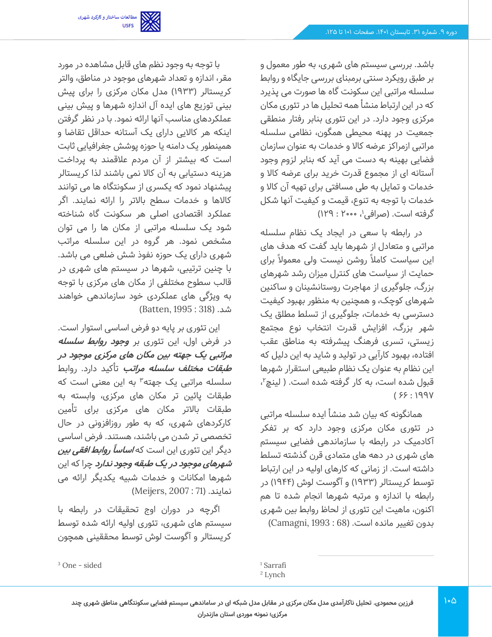باشد. بررسی سیستم های شهری، به طور معمول و بر طبق رویکرد سنتی برمبنای بررسی جایگاه و روابط سلسله مراتبی این سکونت گاه ها صورت می پذیرد که در این ارتباط منشأ همه تحلیل ها در تئوری مکان مرکزی وجود دارد. در این تئوری بنابر رفتار منطقی جمعیت در پهنه محیطی همگون، نظامی سلسله مراتبی ازمراکز عرضه کاال و خدمات به عنوان سازمان فضایی بهینه به دست می آید که بنابر لزوم وجود آستانه ای از مجموع قدرت خرید برای عرضه کاال و خدمات و تمایل به طی مسافتی برای تهیه آن کاال و خدمات با توجه به تنوع، قیمت و کیفیت آنها شکل گرفته است. (صرافی'، •••۲۰ : ۱۲۹)

در رابطه با سعی در ایجاد یک نظام سلسله مراتبی و متعادل از شهرها باید گفت که هدف های این سیاست کاملاً روشن نیست ولی معمولاً برای حمایت از سیاست های کنترل میزان رشد شهرهای بزرگ، جلوگیری از مهاجرت روستانشینان و ساکنین شهرهای کوچک، و همچنین به منظور بهبود کیفیت دسترسی به خدمات، جلوگیری از تسلط مطلق یک شهر بزرگ، افزایش قدرت انتخاب نوع مجتمع زیستی، تسری فرهنگ پیشرفته به مناطق عقب افتاده، بهبود کارآیی در تولید و شاید به این دلیل که این نظام به عنوان یک نظام طبیعی استقرار شهرها قبول شده است، به کار گرفته شده است. ( لینچ<sup>۲</sup>،  $(991:33)$ 

همانگونه که بیان شد منشأ ایده سلسله مراتبی در تئوری مکان مرکزی وجود دارد که بر تفکر آکادمیک در رابطه با سازماندهی فضایی سیستم های شهری در دهه های متمادی قرن گذشته تسلط داشته است. از زمانی که کارهای اولیه در این ارتباط توسط کریستالر ) 1933( و آگوست لوش ) 1944( در رابطه با اندازه و مرتبه شهرها انجام شده تا هم اکنون، ماهیت این تئوری از لحاظ روابط بین شهری بدون تغییر مانده است. )68 : 1993 ,Camagni )

با توجه به وجود نظم های قابل مشاهده در مورد مقر، اندازه و تعداد شهرهای موجود در مناطق، والتر کریستالر ) 1933( مدل مکان مرکزی را برای پیش بینی توزیع های ایده آل اندازه شهرها و پیش بینی عملکردهای مناسب آنها ارائه نمود. با در نظر گرفتن اینکه هر کاالیی دارای یک آستانه حداقل تقاضا و همینطور یک دامنه یا حوزه پوشش جغرافیایی ثابت است که بیشتر از آن مردم عالقمند به پرداخت هزینه دستیابی به آن کاال نمی باشند لذا کریستالر پیشنهاد نمود که یکسری از سکونتگاه ها می توانند کاالها و خدمات سطح باالتر را ارائه نمایند. اگر عملکرد اقتصادی اصلی هر سکونت گاه شناخته شود یک سلسله مراتبی از مکان ها را می توان مشخص نمود. هر گروه در این سلسله مراتب شهری دارای یک حوزه نفوذ شش ضلعی می باشد. با چنین ترتیبی، شهرها در سیستم های شهری در قالب سطوح مختلفی از مکان های مرکزی با توجه به ویژگی های عملکردی خود سازماندهی خواهند شد. )318 : 1995 ,Batten )

این تئوری بر پایه دو فرض اساسی استوار است. در فرض اول، این تئوری بر **وجود روابط سلسله مراتبی یک جهته بین مکان های مرکزی موجود در طبقات مختلف سلسله مراتب** تأکید دارد. روابط سلسله مراتبی یک جهته<sup>۳</sup> به این معنی است که طبقات پائین تر مکان های مرکزی، وابسته به طبقات باالتر مکان های مرکزی برای تأمین کارکردهای شهری، که به طور روزافزونی در حال تخصصی تر شدن می باشند، هستند. فرض اساسی دیگر این تئوری این است که **اساسا ًروابط افقی بین شهرهای موجود در یک طبقه وجود ندارد** چرا که این شهرها امکانات و خدمات شبیه یکدیگر ارائه می نمایند. )71 : 2007 ,Meijers)

اگرچه در دوران اوج تحقیقات در رابطه با سیستم های شهری، تئوری اولیه ارائه شده توسط کریستالر و آگوست لوش توسط محققینی همچون

<sup>1</sup> Sarrafi

<sup>&</sup>lt;sup>2</sup> Lynch

**فرزین محمودی. تحلیل ناکارآمدی مدل مکان مرکزی در مقابل مدل شبکه ای در ساماندهی سیستم فضایی سکونتگاهی مناطق شهری چند مرکزی؛ نمونه موردی استان مازندران**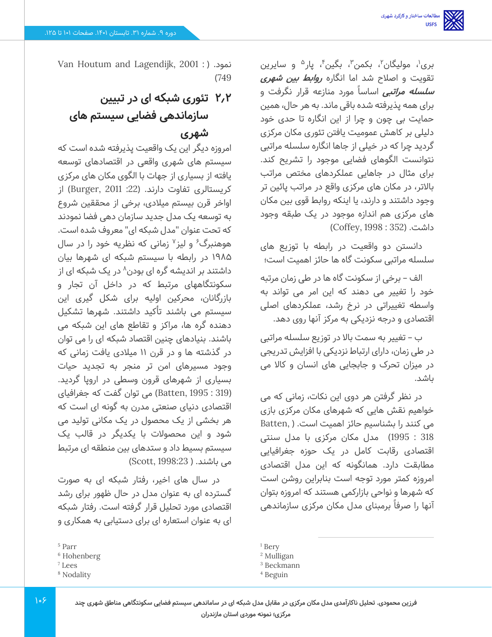بری'، مولیگان''، بکمن''، بگین''، پار<sup>ه</sup> و سایرین تقویت و اصالح شد اما انگاره **روابط بین شهری سلسله مراتبی** اساسا مورد منازعه قرار نگرفت و برای همه پذیرفته شده باقی ماند. به هر حال، همین حمایت بی چون و چرا از این انگاره تا حدی خود دلیلی بر کاهش عمومیت یافتن تئوری مکان مرکزی گردید چرا که در خیلی از جاها انگاره سلسله مراتبی نتوانست الگوهای فضایی موجود را تشریح کند. برای مثال در جاهایی عملکردهای مختص مراتب باالتر، در مکان های مرکزی واقع در مراتب پائین تر وجود داشتند و دارند، یا اینکه روابط قوی بین مکان های مرکزی هم اندازه موجود در یک طبقه وجود داشت. )352 : 1998 ,Coffey )

دانستن دو واقعیت در رابطه با توزیع های سلسله مراتبی سکونت گاه ها حائز اهمیت است؛

الف – برخی از سکونت گاه ها در طی زمان مرتبه خود را تغییر می دهند که این امر می تواند به واسطه تغییراتی در نرخ رشد، عملکردهای اصلی اقتصادی و درجه نزدیکی به مرکز آنها روی دهد.

ب – تغییر به سمت باال در توزیع سلسله مراتبی در طی زمان، دارای ارتباط نزدیکی با افزایش تدریجی در میزان تحرک و جابجایی های انسان و کاال می باشد.

در نظر گرفتن هر دوی این نکات، زمانی که می خواهیم نقش هایی که شهرهای مکان مرکزی بازی می کنند را بشناسیم حائز اهمیت است. ) ,Batten 318 : 1995( مدل مکان مرکزی با مدل سنتی اقتصادی رقابت کامل در یک حوزه جغرافیایی مطابقت دارد. همانگونه که این مدل اقتصادی امروزه کمتر مورد توجه است بنابراین روشن است که شهرها و نواحی بازارکمی هستند که امروزه بتوان آنها را صرفاً برمبنای مدل مکان مرکزی سازماندهی

Van Houtum and Lagendijk, 2001 : ( .نمود )749

# **2.2 تئوری شبکه ای در تبیین سازماندهی فضایی سیستم های شهری**

امروزه دیگر این یک واقعیت پذیرفته شده است که سیستم های شهری واقعی در اقتصادهای توسعه یافته از بسیاری از جهات با الگوی مکان های مرکزی کریستالری تفاوت دارند. ) :22 2011 ,Burger )از اواخر قرن بیستم میالدی، برخی از محققین شروع به توسعه یک مدل جدید سازمان دهی فضا نمودند که تحت عنوان "مدل شبکه ای" معروف شده است. هوهنبرگ<sup>۶</sup> و لیز<sup>۷</sup> زمانی که نظریه خود را در سال 1985 در رابطه با سیستم شبکه ای شهرها بیان 8 داشتند بر اندیشه گره ای بودن در یک شبکه ای از سکونتگاههای مرتبط که در داخل آن تجار و بازرگانان، محرکین اولیه برای شکل گیری این سیستم می باشند تأکید داشتند. شهرها تشکیل دهنده گره ها، مراکز و تقاطع های این شبکه می باشند. بنیادهای چنین اقتصاد شبکه ای را می توان در گذشته ها و در قرن 11 میالدی یافت زمانی که وجود مسیر های امن تر منجر به تجدید حیات بسیاری از شهرهای قرون وسطی در اروپا گردید. )319 : 1995 ,Batten )می توان گفت که جغرافیای اقتصادی دنیای صنعتی مدرن به گونه ای است که هر بخشی از یک محصول در یک مکانی تولید می شود و این محصوالت با یکدیگر در قالب یک سیستم بسیط داد و ستدهای بین منطقه ای مرتبط می باشند. ( Scott, 1998:23)

در سال های اخیر، رفتار شبکه ای به صورت گسترده ای به عنوان مدل در حال ظهور برای رشد اقتصادی مورد تحلیل قرار گرفته است. رفتار شبکه ای به عنوان استعاره ای برای دستیابی به همکاری و

<sup>8</sup> Nodality

<sup>&</sup>lt;sup>1</sup> Bery

<sup>2</sup> Mulligan

<sup>3</sup> Beckmann

<sup>4</sup> Beguin

<sup>5</sup> Parr

<sup>6</sup> Hohenberg

<sup>7</sup> Lees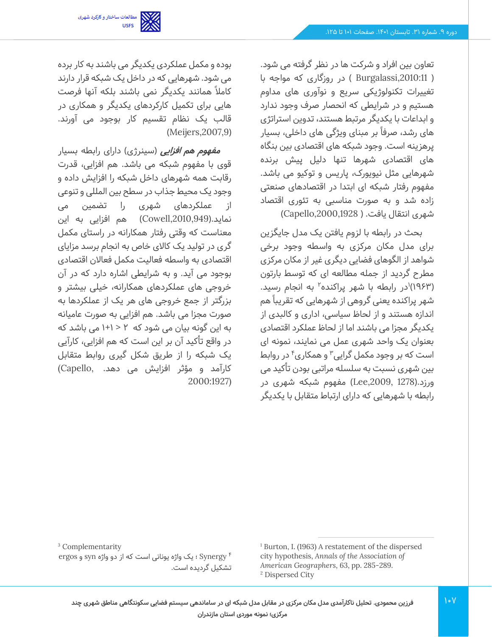

تعاون بین افراد و شرکت ها در نظر گرفته می شود. ) ,2010:11Burgalassi ) در روزگاری که مواجه با تغییرات تکنولوژیکی سریع و نوآوری های مداوم هستیم و در شرایطی که انحصار صرف وجود ندارد و ابداعات با یکدیگر مرتبط هستند، تدوین استراتژی های رشد، صرفاً بر مبنای ویژگی های داخلی، بسیار پرهز ینه است. وجود شبکه های اقتصادی بین بنگاه های اقتصادی شهرها تنها دلیل پیش برنده شهرهایی مثل نیویورک، پاریس و توکیو می باشد. مفهوم رفتار شبکه ای ابتدا در اقتصادهای صنعتی زاده شد و به صورت مناسبی به تئوری اقتصاد شهری انتقال یافت. ( Capello,2000,1928)

بحث در رابطه با لزوم یافتن یک مدل جایگزین برای مدل مکان مرکزی به واسطه وجود برخی شواهد از الگوهای فضایی دیگری غیر از مکان مرکزی مطرح گردید از جمله مطالعه ای که توسط بارتون (۱۹۶۳)<sup>۱</sup>در رابطه با شهر پراکنده<sup>۲</sup> به انجام رسید. شهر پراکنده یعنی گروهی از شهرهایی که تقریبا هم اندازه هستند و از لحاظ سیاسی، اداری و کالبدی از یکدیگر مجزا می باشند اما از لحاظ عملکرد اقتصادی بعنوان یک واحد شهری عمل می نمایند، نمونه ای است که بر وجود مکمل گرایی<sup>۳</sup> و همکاری<sup>۴</sup> در روابط بین شهری نسبت به سلسله مراتبی بودن تأکید می ورزد.)1278 ,2009,Lee )مفهوم شبکه شهری در رابطه با شهرهایی که دارای ارتباط متقابل با یکدیگر

بوده و مکمل عملکردی یکدیگر می باشند به کار برده می شود. شهرهایی که در داخل یک شبکه قرار دارند کاملاً همانند یکدیگر نمی باشند بلکه آنها فرصت هایی برای تکمیل کارکردهای یکدیگر و همکاری در قالب یک نظام تقسیم کار بوجود می آورند. (Meijers, 2007, 9)

*مفهوم هم افزایی* **(سینرژی) دارای رابطه بسیار** قوی با مفهوم شبکه می باشد. هم افزایی، قدرت رقابت همه شهرهای داخل شبکه را افزایش داده و وجود یک محیط جذاب در سطح بین المللی و تنوعی از عملکردهای شهری را تضمین می نماید.),2010,949Cowell )هم افزایی به این معناست که وقتی رفتار همکارانه در راستای مکمل گری در تولید یک کاالی خاص به انجام برسد مزایای اقتصادی به واسطه فعالیت مکمل فعاالن اقتصادی بوجود می آید. و به شرایطی اشاره دارد که در آن خروجی های عملکردهای همکارانه، خیلی بیشتر و بزرگتر از جمع خروجی های هر یک از عملکردها به صورت مجزا می باشد. هم افزایی به صورت عامیانه به این گونه بیان می شود که 2 > +1 1 می باشد که در واقع تأکید آن بر این است که هم افزایی، کارآیی یک شبکه را از طریق شکل گیری روابط متقابل کارآمد و مؤثر افزایش می دهد. ,Capello( 2000:1927)

> <sup>1</sup> Burton, I. (1963) A restatement of the dispersed city hypothesis, *Annals of the Association of American Geographers*, 63, pp. 285-289. <sup>2</sup> Dispersed City

<sup>3</sup> Complementarity

4 Synergy ؛ یک واژه یونانی است که از دو واژه syn و ergos تشکیل گردیده است.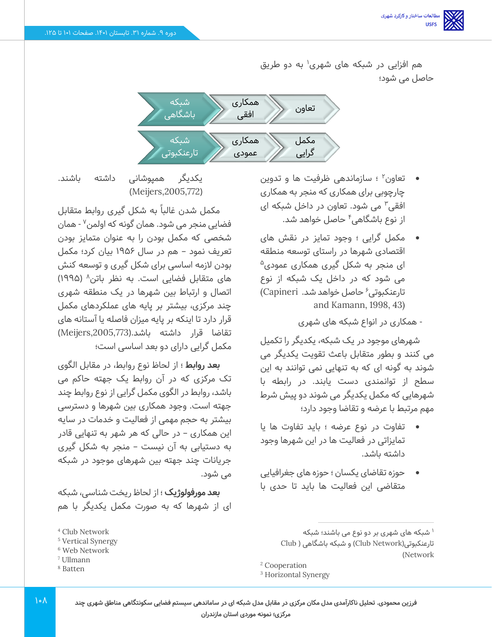هم افزایی در شبکه های شهری<sup>۱</sup> به دو طریق حاصل می شود؛



- تعاون 2 ؛ سازماندهی ظرفیت ها و تدوین چارچوبی برای همکاری که منجر به همکاری افقی<sup>۳</sup> می شود. تعاون در داخل شبکه ای از نوع باشگاهی۴ حاصل خواهد شد.
- مکمل گرایی ؛ وجود تمایز در نقش های اقتصادی شهرها در راستای توسعه منطقه ای منجر به شکل گیری همکاری عمودی<sup>۵</sup> می شود که در داخل یک شبکه از نوع 6 تارعنکبوتی حاصل خواهد شد. Capineri( and Kamann, 1998, 43)

- همکاری در انواع شبکه های شهری

شهرهای موجود در یک شبکه، یکدیگر را تکمیل می کنند و بطور متقابل باعث تقویت یکدیگر می شوند به گونه ای که به تنهایی نمی توانند به این سطح از توانمندی دست یابند. در رابطه با شهرهایی که مکمل یکدیگر می شوند دو پیش شرط مهم مرتبط با عرضه و تقاضا وجود دارد؛

- تفاوت در نوع عرضه ؛ باید تفاوت ها یا تمایزاتی در فعالیت ها در این شهرها وجود داشته باشد.
- حوزه تقاضای یکسان ؛ حوزه های جغرافیایی متقاضی این فعالیت ها باید تا حدی با

یکدیگر همپوشانی داشته باشند. (Meijers,2005,772)

مکمل شدن غالباً به شکل گیری روابط متقابل فضایی منجر می شود. همان گونه که اولمن<sup>۷</sup> - همان شخصی که مکمل بودن را به عنوان متمایز بودن تعریف نمود – هم در سال 1956 بیان کرد؛ مکمل بودن لازمه اساسی برای شکل گیری و توسعه کنش های متقابل فضایی است. به نظر باتن^ (۱۹۹۵) اتصال و ارتباط بین شهرها در یک منطقه شهری چند مرکزی، بیشتر بر پایه های عملکردهای مکمل قرار دارد تا اینکه بر پایه میزان فاصله یا آستانه های تقاضا قرار داشته باشد.),2005,773Meijers ) مکمل گرای ی دارای دو بعد اساسی است؛

**بعد روابط** ؛ از لحاظ نوع روابط، در مقابل الگوی تک مرکزی که در آن روابط یک جهته حاکم می باشد، روابط در الگوی مکمل گرایی از نوع روابط چند جهته است. وجود همکاری بین شهرها و دسترسی بیشتر به حجم مهمی از فعالیت و خدمات در سایه این همکاری – در حالی که هر شهر به تنهایی قادر به دستیابی به آن نیست – منجر به شکل گیری جریانات چند جهته بین شهرهای موجود در شبکه می شود.

**بعد مورفولوژیک** ؛ از لحاظ ریخت شناسی، شبکه ای از شهرها که به صورت مکمل یکدیگر با هم

<sup>8</sup> Batten

<sup>&</sup>lt;sup>۱</sup> شبکه های شهری بر دو نوع می باشند؛ شبکه

تارعنکبوتی)Network Club )و شبکه باشگاهی ) Club (Network

<sup>2</sup> Cooperation

<sup>3</sup> Horizontal Synergy

<sup>4</sup> Club Network

<sup>5</sup> Vertical Synergy

<sup>6</sup> Web Network

<sup>7</sup> Ullmann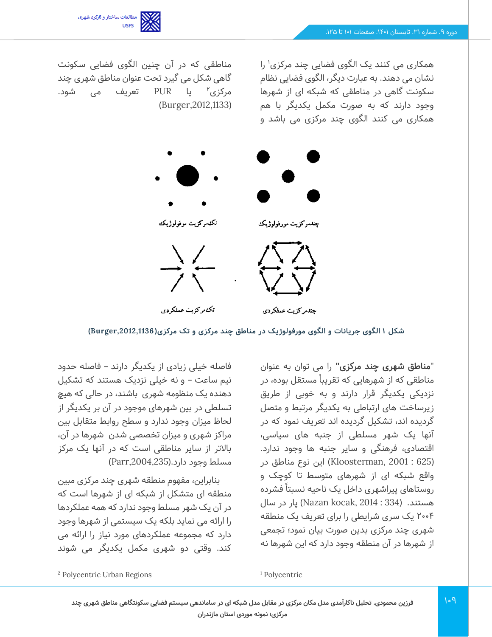

همکاری می کنند یک الگوی فضایی چند مرکزی<sup>۱</sup> را نشان می دهند. به عبارت دیگر، الگوی فضایی نظام سکونت گاهی در مناطقی که شبکه ای از شهرها وجود دارند که به صورت مکمل یکدیگر با هم همکاری می کنند الگوی چند مرکزی می باشد و

مناطقی که در آن چنین الگوی فضایی سکونت گاهی شکل می گیرد تحت عنوان مناطق شهری چند مرکزی′ یا PUR تعریف می شود. (Burger, 2012, 1133)



**شکل 1 الگوی جریانات و الگوی مورفولوژیک در مناطق چند مرکزی و تک مرکزی ) ,2012,1136Burger )**

"**مناطق شهری چند مرکزی"** را می توان به عنوان مناطقی که از شهرهایی که تقریبا مستقل بوده، در نزدیکی یکدیگر قرار دارند و به خوبی از طریق زیرساخت های ارتباطی به یکدیگر مرتبط و متصل گردیده اند، تشکیل گردیده اند تعریف نمود که در آنها یک شهر مسلطی از جنبه های سیاسی، اقتصادی، فرهنگی و سایر جنبه ها وجود ندارد. )625 : 2001 ,Kloosterman )این نوع مناطق در واقع شبکه ای از شهرهای متوسط تا کوچک و روستاهای پیراشهری داخل یک ناحیه نسبتا فشرده هستند. (334 : Nazan kocak, 2014) پار در سال 2004 یک سری شرایطی را برای تعریف یک منطقه شهری چند مرکزی بدین صورت بیان نمود؛ تجمعی از شهرها در آن منطقه وجود دارد که این شهرها نه

فاصله خیلی زیادی از یکدیگر دارند – فاصله حدود نیم ساعت – و نه خیلی نزدیک هستند که تشکیل دهنده یک منظومه شهری باشند، در حالی که هیچ تسلطی در بین شهرهای موجود در آن بر یکدیگر از لحاظ میزان وجود ندارد و سطح روابط متقابل بین مراکز شهری و میزان تخصصی شدن شهرها در آن، باالتر از سایر مناطقی است که در آنها یک مرکز مسلط وجود دارد.(Parr,2004,235)

بنابراین، مفهوم منطقه شهری چند مرکزی مبین منطقه ای متشکل از شبکه ای از شهرها است که در آن یک شهر مسلط وجود ندارد که همه عملکردها را ارائه می نماید بلکه یک سیستمی از شهرها وجود دارد که مجموعه عملکردهای مورد نیاز را ارائه می کند. وقتی دو شهری مکمل یکدیگر می شوند

<sup>1</sup> Polycentric

**فرزین محمودی. تحلیل ناکارآمدی مدل مکان مرکزی در مقابل مدل شبکه ای در ساماندهی سیستم فضایی سکونتگاهی مناطق شهری چند مرکزی؛ نمونه موردی استان مازندران** 

<sup>2</sup> Polycentric Urban Regions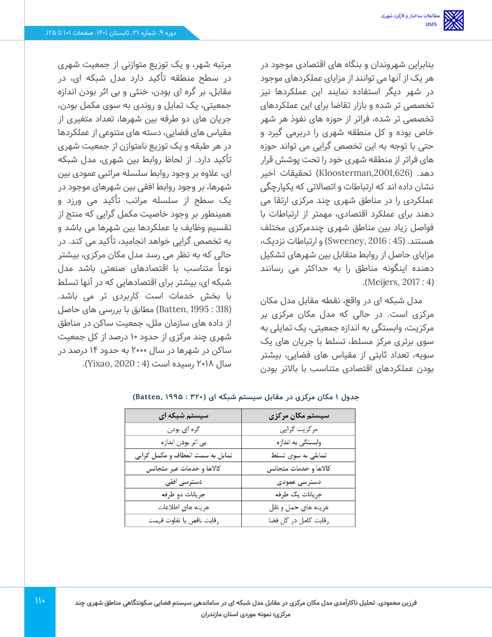بنابراین شهروندان و بنگاه های اقتصادی موجود در هر یک از آنها می توانند از مزایای عملکردهای موجود در شهر دیگر استفاده نمایند این عملکردها نیز تخصصی تر شده و بازار تقاضا برای این عملکردهای تخصصی تر شده، فراتر از حوزه های نفوذ هر شهر خاص بوده و کل منطقه شهری را دربرمی گیرد و حتی با توجه به این تخصص گرایی می تواند حوزه های فراتر از منطقه شهری خود را تحت پوشش قرار دهد. (Kloosterman,2001,626) تحقیقات اخیر نشان داده اند که ارتباطات و اتصاالتی که یکپارچگی عملکردی را در مناطق شهری چند مرکزی ارتقا می دهند برای عملکرد اقتصادی، مهمتر از ارتباطات با فواصل زیاد بین مناطق شهری چندمرکزی مختلف هستند. )45 : 2016 ,Sweeney )و ارتباطات نزدیک، مزایای حاصل از روابط متقابل بین شهرهای تشکیل دهنده اینگونه مناطق را به حداکثر می رسانند .)Meijers, 2017 : 4(

مدل شبکه ای در واقع، نقطه مقابل مدل مکان مرکزی است. در حالی که مدل مکان مرکزی بر مرکزیت، وابستگی به اندازه جمعیتی، یک تمایلی به سوی برتری مرکز مسلط، تسلط با جریان های یک سویه، تعداد ثابتی از مقیاس های فضایی، بیشتر بودن عملکردهای اقتصادی متناسب با باالتر بودن

مرتبه شهر، و یک توزیع متوازنی از جمعیت شهری در سطح منطقه تأکید دارد مدل شبکه ای، در مقابل، بر گره ای بودن، خنثی و بی اثر بودن اندازه جمعیتی، یک تمایل و روندی به سوی مکمل بودن، جریان های دو طرفه بین شهرها، تعداد متغیری از مقیاس های فضایی، دسته های متنوعی از عملکردها در هر طبقه و یک توزیع نامتوازن از جمعیت شهری تأکید دارد. از لحاظ روابط بین شهری، مدل شبکه ای، عالوه بر وجود روابط سلسله مراتبی عمودی بین شهرها، بر وجود روابط افقی بین شهرهای موجود در یک سطح از سلسله مراتب تأکید می ورزد و همینطور بر وجود خاصیت مکمل گرایی که منتج از تقسیم وظایف یا عملکردها بین شهرها می باشد و به تخصص گرایی خواهد انجامید، تأکید می کند. در حالی که به نظر می رسد مدل مکان مرکزی، بیشتر نوعا متناسب با اقتصادهای صنعتی باشد مدل شبکه ای، بیشتر برای اقتصادهایی که در آنها تسلط با بخش خدمات است کاربردی تر می باشد. )318 : 1995 ,Batten )مطابق با بررسی های حاصل از داده های سازمان ملل، جمعیت ساکن در مناطق شهری چند مرکزی از حدود 10 درصد از کل جمعیت ساکن در شهرها در سال 2000 به حدود 14 درصد در سال 2018 رسیده است )4 : 2020 ,Yixao).

| سیستم شبکه ای                    | سیستم مکان مرکزی      |
|----------------------------------|-----------------------|
| گره ای بودن                      | مرکزیت گرایی          |
| بی اثر بودن اندازه               | وابستگی به اندازه     |
| تمایل به سمت انعطاف و مکمل گرایی | تمایلی به سوی تسلط    |
| كالاها و خدمات غير متجانس        | كالاها و خدمات متجانس |
| دسترسی افقی                      | دسترسى عمودى          |
| جريانات دو طرفه                  | جريانات يک طرفه       |
| هزينه هاى اطلاعات                | هزينه هاي حمل و نقل   |
| رقابت ناقص با تفاوت قيمت         | رقابت كامل در كل فضا  |

**جدول 1 مکان مرکزی در مقابل سیستم شبکه ای ) 320 : 1995 ,Batten )**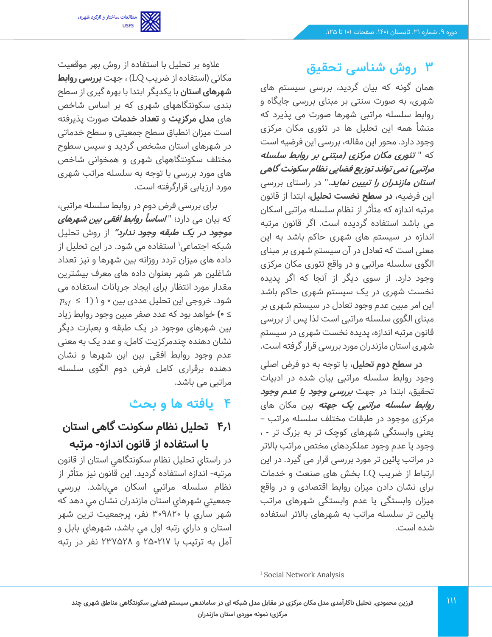

# **3 روش شناسی تحقیق**

همان گونه که بیان گردید، بررسی سیستم های شهری، به صورت سنتی بر مبنای بررسی جایگاه و روابط سلسله مراتبی شهرها صورت می پذیرد که منشأ همه این تحلیل ها در تئوری مکان مرکزی وجود دارد. محور این مقاله، بررسی این فرضیه است که " **تئوری مکان مرکزی )مبتنی بر روابط سلسله مراتبی( نمی تواند توزیع فضایی نظام سکونت گاهی استان مازندران را تبیین نماید.**" در راستای بررسی این فرضیه، **در سطح نخست تحلیل**، ابتدا از قانون مرتبه اندازه که متأثر از نظام سلسله مراتبی اسکان می باشد استفاده گردیده است. اگر قانون مرتبه اندازه در سیستم های شهری حاکم باشد به این معنی است که تعادل در آن سیستم شهری بر مبنای الگوی سلسله مراتبی و در واقع تئوری مکان مرکزی وجود دارد. از سوی دیگر از آنجا که اگر پدیده نخست شهری در یک سیستم شهری حاکم باشد این امر مبین عدم وجود تعادل در سیستم شهری بر مبنای الگوی سلسله مراتبی است لذا پس از بررسی قانون مرتبه اندازه، پدیده نخست شهری در سیستم شهری استان مازندران مورد بررسی قرار گرفته است.

**در سطح دوم تحلیل**، با توجه به دو فرض اصلی وجود روابط سلسله مراتبی بیان شده در ادبیات تحقیق، ابتدا در جهت **بررسی وجود یا عدم وجود روابط سلسله مراتبی یک جهته** بین مکان های مرکزی موجود در طبقات مختلف سلسله مراتب – یعنی وابستگی شهرهای کوچک تر به بزرگ تر - ، وجود یا عدم وجود عملکردهای مختص مراتب باالتر در مراتب پائین تر مورد بررسی قرار می گیرد. در این ارتباط از ضریب LQ بخش های صنعت و خدمات برای نشان دادن میزان روابط اقتصادی و در واقع میزان وابستگی یا عدم وابستگی شهرهای مراتب پائین تر سلسله مراتب به شهرهای باالتر استفاده شده است.

عالوه بر تحلیل با استفاده از روش بهر موقعیت مکانی )استفاده از ضریب LQ )، جهت **بررسی روابط شهرهای استان** با یکدیگر ابتدا با بهره گیری از سطح بندی سکونتگاههای شهری که بر اساس شاخص های **مدل مرکزیت** و **تعداد خدمات** صورت پذیرفته است میزان انطباق سطح جمعیتی و سطح خدماتی در شهرهای استان مشخص گردید و سپس سطوح مختلف سکونتگاههای شهری و همخوانی شاخص های مورد بررسی با توجه به سلسله مراتب شهری مورد ارزیابی قرارگرفته است.

برای بررسی فرض دوم در روابط سلسله مراتبی، که بیان می دارد؛ " **اساسا ًروابط افقی بین شهرهای موجود در یک طبقه وجود ندارد"** از روش تحلیل شبکه اجتماعی<sup>۱</sup> استفاده می شود. در این تحلیل از داده های میزان تردد روزانه بین شهر ها و نیز تعداد شاغلین هر شهر بعنوان داده های معرف بیشترین مقدار مورد انتظار برای ایجاد جریانات استفاده می  $p_{sf} \leq 1$ شود. خروجی این تحلیل عددی بین • و ۱ (1  $p_{sf}$ ≥ **0(** خواهد بود که عدد صفر مبین وجود روابط زیاد بین شهرهای موجود در یک طبقه و بعبارت دیگر نشان دهنده چندمرکزیت کامل، و عدد یک به معنی عدم وجود روابط افقی بین این شهرها و نشان دهنده برقراری کامل فرض دوم الگوی سلسله مراتبی می باشد.

# **4 یافته ها و بحث**

# **4.1 تحلیل نظام سکونت گاهی استان با استفاده از قانون اندازه- مرتبه**

در راستاي تحليل نظام سكونتگاهي استان از قانون مرتبه- اندازه استفاده گرديد. اين قانون نيز متأثر از نظام سلسله مراتبي اسكان مي باشد. بررسي جمعيتي شهرهاي استان مازندران نشان مي دهد كه شهر ساري با 309820 نفر، پرجمعيت ترين شهر استان و داراي رتبه اول مي باشد، شهرهاي بابل و آمل به ترتيب با 250217 و 237528 نفر در رتبه

<sup>1</sup> Social Network Analysis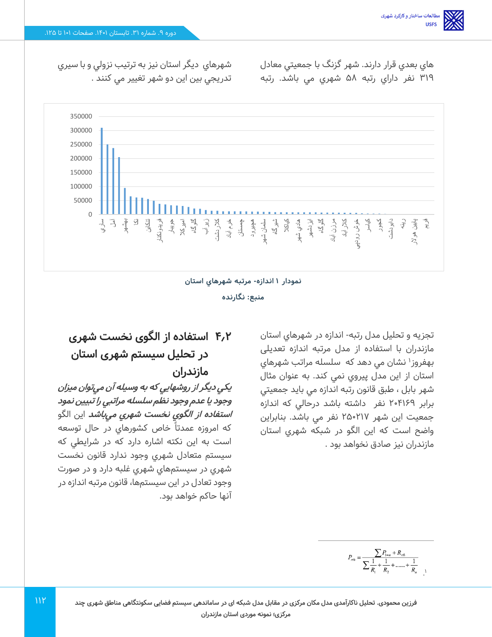هاي بعدي قرار دارند. شهر گزنگ با جمعيتي معادل 319 نفر داراي رتبه 58 شهري مي باشد. رتبه

شهرهاي ديگر استان نيز به ترتيب نزولي و با سيري تدريجي بين اين دو شهر تغيير مي كنند .



#### **نمودار 1 اندا زه - مرتبه شهرهاي استان**

**منبع : نگارنده** 

تجزيه و تحليل مدل رتبه- اندازه در شهرهاي استان مازندران با استفاده از مدل مرتبه اندازه تعدیلی بهفروز<sup>۱</sup> نشان می دهد که سلسله مراتب شهرهای استان از اين مدل پيروي نمي كند. به عنوان مثال شهر بابل ، طبق قانون رتبه اندازه مي بايد جمعيتي برابر 204169 نفر داشته باشد درحالي كه اندازه جمعيت اين شهر 250217 نفر مي باشد. بنابراين واضح است كه اين الگو در شبكه شهري استان مازندران نيز صادق نخواهد بود .

# **4.2 استفاده از الگوی نخست شهری در تحلیل سیستم شهری استان مازندران**

**يكي ديگر از روشهايي كه به وسيله آن مي توان ميزان وجود يا عدم وجود نظم سلسله مراتبي را تبيين نمود استفاده از الگوي نخست شهري مي باشد** اين الگو كه امروزه عمدتا خاص كشورهاي در حال توسعه است به اين نكته اشاره دارد كه در شرايطي كه سيستم متعادل شهري وجود ندارد قانون نخست شهري در سيستمهاي شهري غلبه دارد و در صورت وجود تعادل در اين سيستم ها، قانون مرتبه اندازه در آنها حاكم خواهد بود.

 $\cdot$ <sup>1</sup>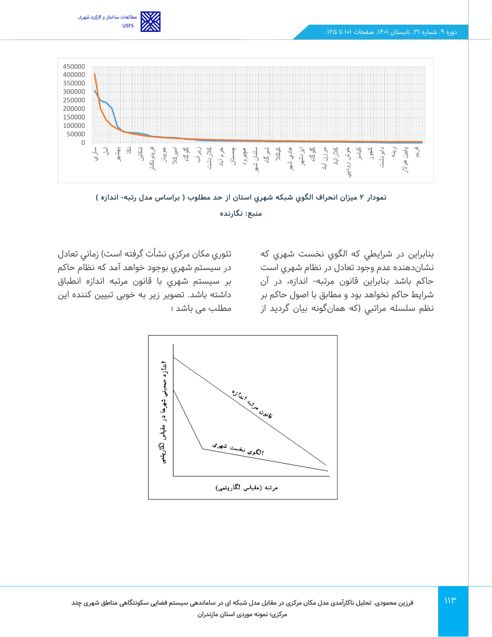





بنابراين در شرايطي كه الگوي نخست شهري كه نشان دهنده عدم وجود تعادل در نظام شهري است حاكم باشد بنابراين قانون مرتبه- اندازه، در آن شرايط حاكم نخواهد بود و مطابق با اصول حاكم بر نظم سلسله مراتبي )كه همانگونه بيان گرديد از

تئوري مكان مركزي نشأت گرفته است) زماني تعادل در سيستم شهري بوجود خواهد آمد كه نظام حاكم بر سيستم شهري با قانون مرتبه اندازه انطباق داشته باشد. تصویر زیر به خوبی تبیین کننده این مطلب می باشد ؛

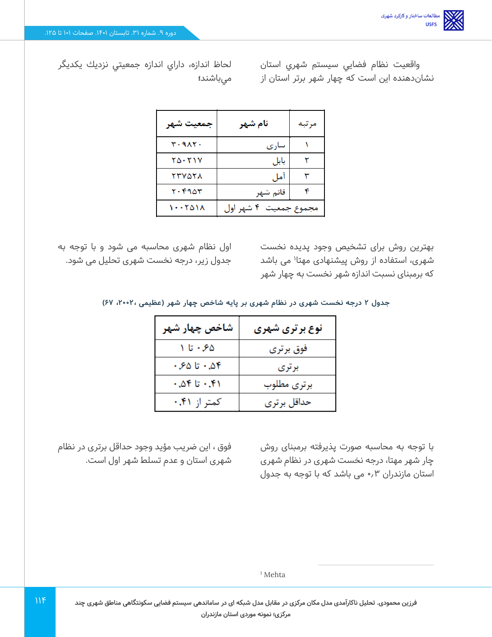واقعيت نظام فضايي سيستم شهري استان نشان دهنده اين است كه چهار شهر برتر استان از

لحاظ اندازه، داراي اندازه جمعيتي نزديك يكديگر ميباشند**؛** 

| جمعيت شهر     | نام شهر               | مر بيه |
|---------------|-----------------------|--------|
| ۳۰۹۸۲۰        | سارى                  |        |
| ۲۵۰۲۱۷        | بابل                  |        |
| <b>۲۳۷۵۲۸</b> | آمل                   |        |
| ۲۰۴۹۵۳        | قائم شهر              |        |
| ۱۰۰۲۵۱۸       | مجموع جمعیت ۴ شهر اول |        |

بهترین روش برای تشخیص وجود پدیده نخست شهری، استفاده از روش پیشنهادی مهتا<sup>۱</sup> می باشد که برمبنای نسبت اندازه شهر نخست به چهار شهر

اول نظام شهری محاسبه می شود و با توجه به جدول زیر، درجه نخست شهری تحلیل می شود.

**جدول 2 درجه نخست شهری در نظام شهری بر پایه شاخص چهار شهر )عظیمی ، ،2002 67(** 

| شاخص چهار شهر | <b>نوع برتری شهری</b> |
|---------------|-----------------------|
| ۶۵- تا ۱      | فوق برتري             |
| ۵۴.۰ تا ۶۵.   | بر تری                |
| ۰٫۵۴ تا ۵۴.   | برترى مطلوب           |
| کمتر از ۴۱.۰  | حداقل برترى           |

با توجه به محاسبه صورت پذیرفته برمبنای روش چار شهر مهتا، درجه نخست شهری در نظام شهری استان مازندران 0.3 می باشد که با توجه به جدول

فوق ، این ضریب مؤید وجود حداقل برتری در نظام شهری استان و عدم تسلط شهر اول است.

<sup>1</sup> Mehta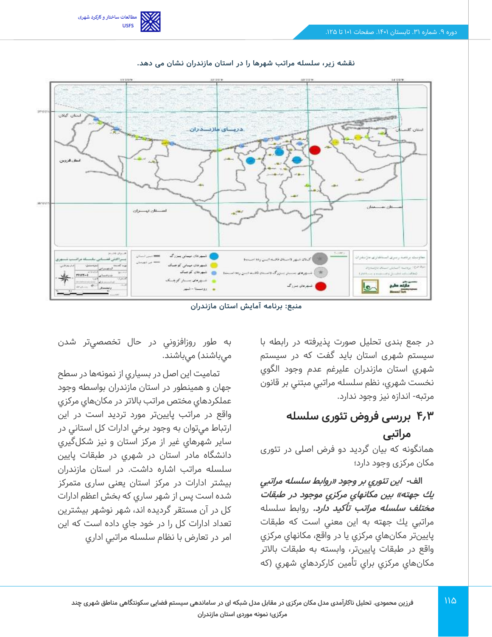



**نقشه زیر، سلسله مراتب شهرها را در استان مازندران نشان می دهد.** 

**منبع: برنامه آمایش استان مازندران** 

در جمع بندی تحلیل صورت پذیرفته در رابطه با سیستم شهری استان باید گفت که در سيستم شهري استان مازندران عليرغم عدم وجود الگوي نخست شهري، نظم سلسله مراتبي مبتني بر قانون مرتبه- اندازه نيز وجود ندارد.

## **4.3 بررسی فروض تئوری سلسله مراتبی**

همانگونه که بیان گردید دو فرض اصلی در تئوری مکان مرکزی وجود دارد؛

**الف- اين تئوري بر وجود »روابط سلسله مراتبي**  يك جهته» بين مكانهاي مركزي موجود در طبقات **مختلف سلسله مراتب تأكيد دارد.** روابط سلسله مراتبي يك جهته به اين معني است كه طبقات پايين تر مكان هاي مركزي يا در واقع، مكانهاي مركزي واقع در طبقات پايين تر، وابسته به طبقات باالتر مكانهاي مركزي براي تأمين كاركردهاي شهري )كه

به طور روزافزوني در حال تخصصي تر شدن ميباشند) ميباشند.

تماميت اين اصل در بسياري از نمونه ها در سطح جهان و همينطور در استان ماز ندران بواسطه وجود عملكردهاي مختص مراتب باالتر در مكان هاي مركزي واقع در مراتب پايين تر مورد ترديد است در اين ارتباط مي توان به وجود برخي ادارات كل استاني در ساير شهرهاي غير از مركز استان و نيز شكلگيري دانشگاه مادر استان در شهري در طبقات پايين سلسله مراتب اشاره داشت. در استان مازندران بیشتر ادارات در مرکز استان یعنی ساری متمرکز شده است پس از شهر ساري كه بخش اعظم ادارات كل در آن مستقر گرديده اند، شهر نوشهر بيشترين تعداد ادارات كل را در خود جاي داده است كه اين امر در تعارض با نظام سلسله مراتبي اداري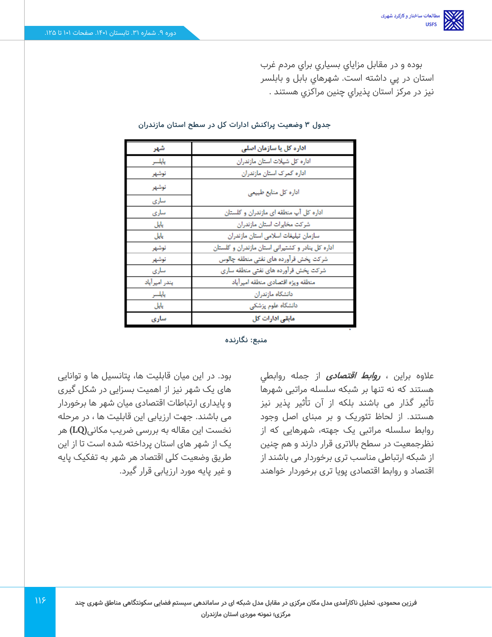بوده و در مقابل مزاياي بسياري براي مردم غرب استان در پي داشته است. شهرهاي بابل و بابلسر نيز در مركز استان پذيراي چنين مراكزي هستند .

| شهر           | اداره کل یا سازمان اصلی                           |
|---------------|---------------------------------------------------|
| يايلسر        | اداره کل شیلات استان مازندران                     |
| نوشهر         | اداره كمرك استان مازندران                         |
| نوشهر         | اداره کل منابع طبیعی                              |
| سارى          |                                                   |
| ساری          | اداره کل آب منطقه ای مازندران و گلستان            |
| يايل.         | شركت مخايرات استان مازندران                       |
| يايل          | سازمان تيليغات اسلامى استان مازندران              |
| نوشهر         | اداره کل پنادر و کشتیرانی استان مازندران و گلستان |
| نوشهر         | شركت يخش فرآورده هاى نفتى منطقه چالوس             |
| ساری          | شرکت یخش قرآورده های نفتی منطقه ساری              |
| يندر اميرآياد | منطقه ويژه اقتصادى منطقه اميرآياد                 |
| يايلسر        | دانشگاه مازندران                                  |
| يايل          | دانشگاه علوم پزشکی                                |
| سارى          | مابقی ادارات کل                                   |

#### **جدول 3 وضعیت پراکنش ادارات کل در سطح استان مازندران**

**منبع: نگارنده** 

عالوه براین ، **روابط اقتصادی** از جمله روابطي هستند که نه تنها بر شبکه سلسله مراتبی شهرها تأثیر گذار می باشند بلکه از آن تأثیر پذیر نیز هستند. از لحاظ تئوریک و بر مبنای اصل وجود روابط سلسله مراتبی یک جهته، شهرهایی که از نظرجمعیت در سطح باالتری قرار دارند و هم چنین از شبکه ارتباطی مناسب تری برخوردار می باشند از اقتصاد و روابط اقتصادی پویا تری برخوردار خواهند

بود. در این میان قابلیت ها، پتانسیل ها و توانایی های یک شهر نیز از اهمیت بسزایی در شکل گیری و پایداری ارتباطات اقتصادی میان شهر ها برخوردار می باشند. جهت ارزیابی این قابلیت ها ، در مرحله نخست این مقاله به بررسی ضریب مکانی**(LQ (**هر یک از شهر های استان پرداخته شده است تا از این طریق وضعیت کلی اقتصاد هر شهر به تفکیک پایه و غیر پایه مورد ارزیابی قرار گیرد.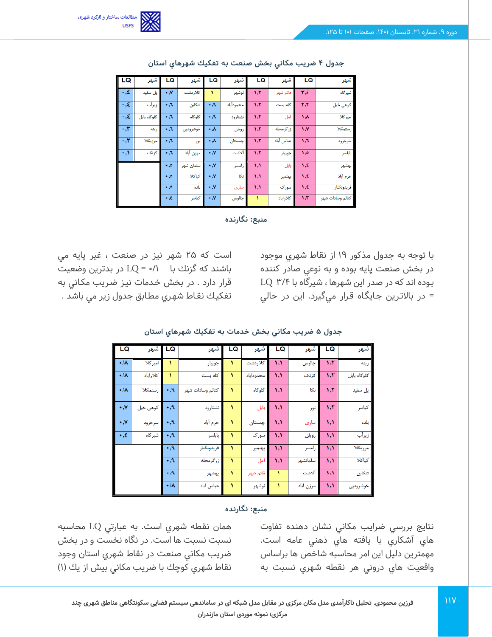

| LQ                     | شهر         | LQ                | شهر       | LQ               | شهر       | LQ                         | شهر       | LQ                          | شهر              |
|------------------------|-------------|-------------------|-----------|------------------|-----------|----------------------------|-----------|-----------------------------|------------------|
| $\cdot, \xi$           | پل سفید     | $\cdot$ . Y       | كلاردشت   | ١                | نوشهر     | 1, 5                       | قائم شهر  | $r_{\cdot} \epsilon$        | شيرگاه           |
| $\cdot$ , $\xi$        | زيرأب       | ٠٫٦               | تنكابن    | $\cdot$ ,9       | محمودأباد | 5,5                        | كله بست   | $\mathbf{r}$ , $\mathbf{r}$ | کوهی خیل         |
| $\cdot$ , $\xi$        | گلوگاه بابل | ٠٫٦               | گلوگاه    | $\cdot$ ,9       | نشتارود   | 5,5                        | أمل       | ۸, ۱                        | اميركلا          |
| $\cdot$ , $\mathbf{r}$ | رينه        | $\cdot$ , $\cdot$ | خوشروديى  | ۰۸               | رويان     | 5,5                        | زرگرمحله  | 1.7                         | رستمكلا          |
| $\cdot$ , $\mathsf{y}$ | مرزيكلا     | ٠٫٦               | نور       | ۰۸               | جمستان    | 5,5                        | عباس أباد | 1,7                         | سرخرود           |
| $\cdot, \cdot$         | گزنگ        | $\cdot$ ,1        | مرزن أباد | ۰٫۷              | ألاشت     | 5,5                        | جويبار    | 1,0                         | بابلسر           |
|                        |             | $\ddotsc$         | سلمان شهر | $\cdot$ , $\vee$ | رامسر     | $\mathcal{N}$              | بابل      | 1,5                         | بهشهر            |
|                        |             | $\ddotsc$         | كياكلا    | $\cdot$ , $\vee$ | نكا       | , 1                        | بهنمير    | $\lambda, \xi$              | خرم أباد         |
|                        |             | $\ddotsc$         | بلده      | ۰,۷              | سارى      | $\mathcal{N}, \mathcal{N}$ | سورک      | $\lambda$ , $\epsilon$      | فريدونكنار       |
|                        |             | $\cdot$ , $\xi$   | كياسر     | ۰,۷              | چالوس     | ١                          | كلارأباد  | 5.5                         | كتالم وسادات شهر |

**جدول 4 ضريب مكاني بخش صنعت به تفكيك شهرهاي استان** 



با توجه به جدول مذكور 19 از نقاط شهري موجود در بخش صنعت پايه بوده و به نوعي صادر كننده بـوده اند كه در صدر اين شهرها ، شيرگاه با /4 3 LQ = در باالتـرين جـايگـاه قـرار ميگيرد. اين در حالي

است كه 25 شهر نيز در صنعت ، غير پايه مي باشند كه گزنك با /1 0 = LQ در بدترين وضعيت قرار دارد . در بخش خـدمات نيـز ضـريب مكـاني به تفكيـك نقـاط شهـري مطـابق جدول زیر مي باشد .

| LQ                   | ا شهر    | l LQ               | شهر              | LQ | شهر       | LQ              | شهر       | LQ                         | شهر         |
|----------------------|----------|--------------------|------------------|----|-----------|-----------------|-----------|----------------------------|-------------|
| $\cdot/\lambda$      | اميركلا  | ١                  | جويبار           |    | كلاردشت   | ۱,۱             | چالوس     | 5,5                        | رينه        |
| $+/\lambda$          | كلارأباد | ١                  | كله بست          | ١  | محمودأباد | $, \mathcal{E}$ | گزنک      | 5,5                        | گلوگاه بابل |
| $\cdot/\lambda$      | رستمكلا  | $\cdot$ ,۹         | كتالم وسادات شهر | ١  | گلوگاه    | $, \mathcal{N}$ | نكا       | 5,5                        | یل سفید     |
| $\cdot$ , Y          | کوهی خیل | $\mathcal{A}$      | نشتارود          | ١  | بابل      | $\mathcal{N}$   | نور       | 5,5                        | كياسر       |
| $\cdot$ , Y          | سرخرود   | $\overline{\cdot}$ | خرم أباد         | ١  | جمستان    | $\mathcal{N}$   | سارى      | $\mathcal{N}$              | بلده        |
| $\cdot$ , $\epsilon$ | شيرگاه   | $\cdot$ ,9         | بابلسر           | ١  | سورک      | $\mathcal{N}$   | رويان     | $\mathcal{N}$              | زيرأب       |
|                      |          | $\cdot$ ,۹         | فريدونكنار       |    | بهنمير    | $, \mathcal{N}$ | رامسر     | $\mathcal{N}$              | مرزيكلا     |
|                      |          | $\cdot$ ,۹         | زرگرمحله         | ١  | أمل       | $\mathcal{N}$   | سلمانشهر  | $\mathcal{N}, \mathcal{N}$ | كباكلا      |
|                      |          | $\cdot$ ,9         | بهشهر            |    | قائم شهر  | ١               | ألاشت     | $, \mathcal{N}$            | تنكابن      |
|                      |          | $\cdot/\lambda$    | عباس أباد        |    | نوشهر     | ١               | مرزن أباد | $, \mathcal{E}$            | خوشروديى    |

**جدول 5 ضريب مكاني بخش خدمات به تفكيك شهرهاي استان** 

#### **منبع: نگارنده**

نتايج بررسي ضرايب مكاني نشان دهنده تفاوت هاي آشكاري با يافته هاي ذهني عامه است. مهمترين دليل اين امر محاسبه شاخص ها براساس واقعيت هاي دروني هر نقطه شهري نسبت به

همان نقطه شهري است. به عبارتي LQ محاسبه نسبت نسبت ها است. در نگاه نخست و در بخش ضريب مكاني صنعت در نقاط شهري استان وجود نقاط شهري كوچك با ضريب مكاني بيش از يك ) 1(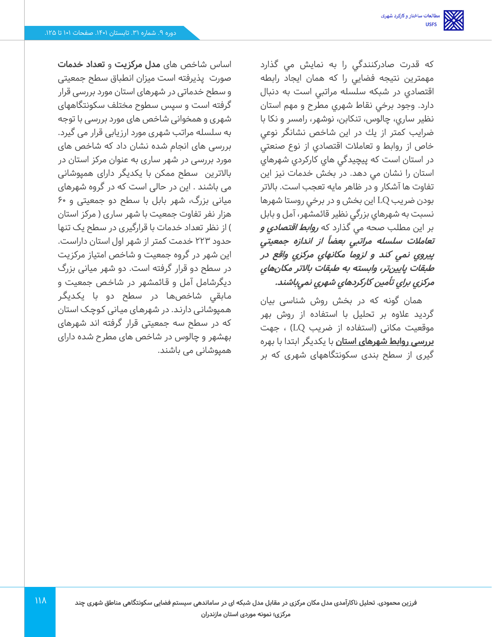كه قدرت صادركنندگي را به نمايش مي گذارد مهمترين نتيجه فضايي را كه همان ايجاد رابطه اقتصادي در شبكه سلسله مراتبي است به دنبال دارد. وجود برخي نقاط شهري مطرح و مهم استان نظير ساري، چالوس، تنكابن، نوشهر، رامسر و نكا با ضرايب كمتر از يك در اين شاخص نشانگر نوعي خاص از روابط و تعامالت اقتصادي از نوع صنعتي در استان است كه پيچيدگي هاي كاركردي شهرهاي استان را نشان مي دهد. در بخش خدمات نيز اين تفاوت ها آشكار و در ظاهر مايه تعجب است. باالتر بودن ضريب LQ اين بخش و در برخي روستا شهرها نسبت به شهرهاي بزرگي نظير قائمشهر، آمل و بابل بر اين مطلب صحه مي گذارد كه **روابط اقتصادي و از انداز تعامالت سلسله مراتبي بعضا <sup>ه</sup> جمعيتي ً پيروي نمي كند <sup>و</sup> لزوما مكانهاي مركزي واقع در طبقات پايين تر، وابسته به طبقات باالتر مكان هاي مركزي براي تأمين كاركردهاي شهري نمي باشند.**

همان گونه که در بخش روش شناسی بیان گردید علاوه بر تحلیل با استفاده از روش بهر موقعیت مکانی )استفاده از ضریب LQ )، جهت **بررسی روابط شهرهای استان** با یکدیگر ابتدا با بهره گیری از سطح بندی سکونتگاههای شهری که بر

اساس شاخص های **مدل مرکزیت** و **تعداد خدمات** صورت پذیرفته است میزان انطباق سطح جمعیتی و سطح خدماتی در شهرهای استان مورد بررسی قرار گرفته است و سپس سطوح مختلف سکونتگاههای شهری و همخوانی شاخص های مورد بررسی با توجه به سلسله مراتب شهری مورد ارزیابی قرار می گیرد. بررسی های انجام شده نشان داد که شاخص های مورد بررسی در شهر ساری به عنوان مرکز استان در باالترین سطح ممکن با یکدیگر دارای همپوشانی می باشند . این در حالی است که در گروه شهرهای میانی بزرگ، شهر بابل با سطح دو جمعیتی و 60 هزار نفر تفاوت جمعیت با شهر ساری ( مرکز استان ( از نظر تعداد خدمات با قرارگیری در سطح یک تنها حدود 223 خدمت کمتر از شهر اول استان داراست. این شهر در گروه جمعیت و شاخص امتیاز مرکزیت در سطح دو قرار گرفته است. دو شهر میانی بزرگ دیگرشامل آمل و قـائمشهر در شاخـص جمعیت و مـابقي شاخص هـا در سطح دو با یکـدیگـر هـمپوشانـی دارنـد. در شهرهـای میـانی کـوچـک استان که در سطح سه جمعیتی قرار گرفته اند شهرهای بهشهر و چالوس در شاخص های مطرح شده دارای همپوشانی می باشند.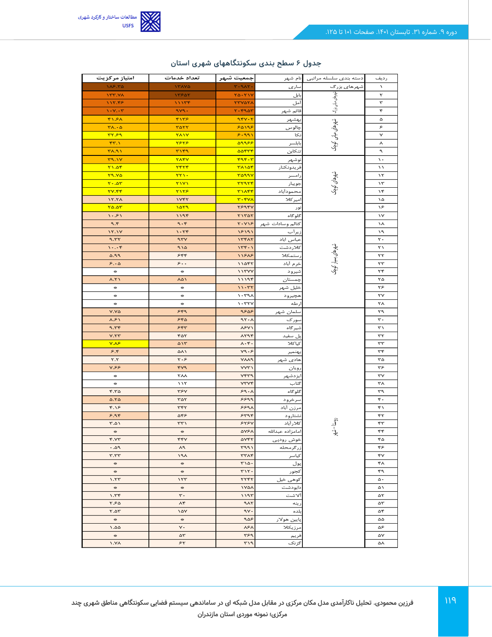

| امتياز مركزيت                               | تعداد خدمات                       | جمعيت شبهر                             | انام شهر                   | دسته بندى سلسله مراتبى                   | رديف                   |
|---------------------------------------------|-----------------------------------|----------------------------------------|----------------------------|------------------------------------------|------------------------|
| 185.70                                      | YXX                               | $r - 9AT -$                            | سارى                       | شهرهای بزرگ                              | $\lambda$              |
| $\gamma$                                    | 13507                             | $Y\Delta$ . $Y\Delta V$                | بابل                       |                                          | ۲                      |
| 117.48                                      | 11178                             | <b>TTVATA</b>                          | آمل                        |                                          | $\mathbf{\tau}$        |
| $1 - Y - Y$                                 | 949.                              | $T - F9aT$                             | قائم شهر                   |                                          | ۴                      |
| $Y \setminus S \setminus$                   | 5155                              | 954.7                                  | ۔<br>بہشہر                 |                                          | ۵                      |
| $Y \wedge \cdot \wedge$                     | <b>TATT</b>                       | 50195                                  | چالوس                      | شهرهای میانی بزرگ    شههرهای میآنی کوچک  | ۶                      |
| rrsq                                        | $Y \wedge Y$                      | 5.991                                  | نكا                        |                                          | $\checkmark$           |
| FT.1                                        | <b>TSTS</b>                       | aggee                                  | بابلسر                     |                                          | ٨                      |
| ۳۸.۹۱                                       | T159                              | <b>BOFTF</b>                           | تنكابن                     |                                          | ٩                      |
| T9.1Y                                       | <b>TAFY</b>                       | $rqr-r$                                | نوشهر                      |                                          | $\lambda$ .            |
| Y1.08                                       | <b>TFTF</b>                       | <b>TAIST</b>                           | فريدونكنار                 |                                          | $\lambda$              |
| <b>T9.70</b>                                | $TT1 -$                           | roaav                                  | إمسر                       |                                          | $\lambda \tau$         |
| $Y - \Delta Y$                              | $\overline{Y}$                    | <b>TT9TF</b>                           | جويبار                     | شهرهای کوچک                              | $\mathcal{N}$          |
| <b>TV.۴۴</b>                                | <b>TITS</b>                       | <b>TIAFF</b>                           | ۔<br>حمودآباد              |                                          | ۱۴                     |
| 17.7 <sub>A</sub>                           | VFT                               | $r - rv\lambda$                        | ميركلا                     |                                          | ۱۵                     |
| 70.07                                       | 1079                              | TS9FV                                  | نور                        |                                          | ٦۶                     |
| $\lambda \cdot 5\lambda$                    | 1196                              | $T1T\Delta T$                          | گلوگاه                     |                                          | $\mathsf{v}$           |
| 9.5                                         | 9.5                               | $Y \cdot Y \setminus P$                | كتالم وسادات شهر           |                                          | ነሌ                     |
| 17.1Y                                       | $\eta$ . $\tau$ ۴                 | 15191                                  | زيرآب                      |                                          | ۱۹                     |
| 9.57                                        | 27V                               | $\gamma$                               | مباس اباد                  |                                          | $\mathbf{r}$ .         |
| $\mathcal{N} \cdot \cdot \cdot \mathcal{K}$ | ۹۱۵                               | $156 - 1$                              | كلاردشت                    |                                          | ٢١                     |
| 0.99                                        | 555                               | 11818                                  | ستمكلا                     |                                          | ٢٢                     |
| 5.00                                        | $\mathrel{\circ}\ldots$           | 11057                                  | خرم أباد                   | شهرهای بسیار کوچک                        | $\tau\tau$             |
| $\mathbf{a}$                                | $\frac{1}{2}$                     | 117YY                                  | شيرود                      |                                          | ٣۴                     |
| $\lambda$ . $\zeta$                         | ۸۵۱                               | ۱۱۱۹۴                                  | ستان                       |                                          | ۲۵                     |
| $\frac{1}{2}$                               | $\mathcal{M}$                     | $11 - TY$                              | خليل شهر                   |                                          | ۳۶                     |
| $\mathcal{M}$                               | $\mathcal{M}$                     | $\lambda$ . ۳۹ $\lambda$               | <u>چيرو د</u>              |                                          | ٢٧                     |
| $\mathcal{M}$                               | $\mathcal{M}$                     | $\mathbf{v}$ . $\mathbf{v}$            | رطه                        |                                          | ٢٨                     |
| V.VQ                                        | 549                               | عمعه                                   | .<br>سلما <i>ن</i> شىھر    |                                          | ٣٩                     |
| $\lambda .$ ۶۱                              | 580                               | 97.1                                   | سورک                       |                                          | $\mathbf{r}$ .         |
| 9.55                                        | 555                               | <b>NSVI</b>                            | شيركاه                     |                                          | ۳۱                     |
| V.77                                        | ۴۵۲                               | ATAP                                   | پل سفید<br>كياكلا          |                                          | $\tau\tau$             |
| V.A<br>5.5                                  | $\Delta Y$<br>۵۸۱                 | $\lambda \cdot \mathfrak{r}$ .<br>Y9.5 |                            |                                          | $\tau\tau$<br>٣۴       |
| $\mathbf{Y}.\mathbf{Y}$                     | ۲۰۶                               | <b>VAA9</b>                            | بهنمير<br>هاد <i>ی</i> شهر |                                          | ٣۵                     |
| Y.55                                        | $Y^{\gamma}$                      | VVY                                    | رويان                      |                                          | ٣۶                     |
| $\mathcal{C}^{\mathcal{S}}$                 | ۲λλ                               | vrra                                   | ايزدشهر                    |                                          | $\mathsf{r}\mathsf{v}$ |
| $\mathcal{M}$                               | $\lambda \lambda \tau$            | <b>VTVF</b>                            | گتاب                       |                                          | ۳٨                     |
| $F.T\Delta$                                 | <b>٣۶٧</b>                        | 59.1                                   | گلوگاه                     |                                          | ٣٩                     |
| $\Delta$ .7 $\Delta$                        | $\tau \Delta \tau$                | 5599                                   | سرخرود                     |                                          | ۴٠                     |
| $f.\lambda$                                 | ٣۴٢                               | 5591                                   | م <u>رزن</u> أباد          |                                          | ۴۱                     |
| 5.98                                        | ۵۴۶                               | 5498                                   | نشتارود                    |                                          | ۴۲                     |
| $T.\Delta Y$                                | $rr \gamma$                       | 555V                                   | كلارآباد                   | $j-\lfloor\frac{r}{\omega}\rfloor$ روستا | ۴٣                     |
| 100                                         | $-205$                            | <b>AYSA</b>                            | امامزاده عبدالله           | ł.                                       | ۴۴                     |
| Y.YY                                        | ۴۴٧                               | <b>AVFT</b>                            | خوش رودپی                  |                                          | ۴۵                     |
| PA.                                         | ۸۹                                | 4991                                   | زرگرمحله                   |                                          | ۴۶                     |
| r.r.r                                       | $\lambda$                         | <b>٣٣٨۴</b>                            | كياسر                      |                                          | ۴٧                     |
| $\mathcal{M}_{\mathcal{C}}$                 | $\frac{1}{2} \frac{d\phi}{d\phi}$ | $T \setminus \Delta$ .                 | پول                        |                                          | ۴۸                     |
| $\mathcal{M}_{\mathcal{C}}$                 | $\mathfrak{gl}_\mathbb{C}$        | $r \wedge r$ .                         | تجور                       |                                          | ۴۹                     |
| 77.7                                        | 157                               | YYYY                                   | کو می خیل                  |                                          | ۵۰                     |
| $\mathcal{M}$                               | $\frac{1}{2} \frac{d\phi}{d\phi}$ | $\sqrt{2}$                             | دابودشت                    |                                          | ۵۱                     |
| $\gamma$ . $\gamma$                         | $\mathbf{r}$ .                    | 1197                                   | الاشت                      |                                          | ۵۲                     |
| 5.50                                        | ۸۴                                | $4\lambda$                             | رينه                       |                                          | ۵٣                     |
| T.A.                                        | $\lambda \Delta V$                | 9V.                                    | بلده                       |                                          | ۵۴                     |
| $\mathcal{M}_{\mathcal{C}}$                 | $\mathcal{M}$                     | 905                                    | پايين هولار                |                                          | ۵۵                     |
| 0.001                                       | $\mathsf{v}\cdot$                 | $\lambda$ ۶ $\lambda$                  | ىرزيكلا                    |                                          | ۵۶                     |
| $\mathbb{R}^n$                              | ۵٣                                | ٣۶٩                                    | فريم                       |                                          | ۵۷                     |
| $\lambda$ . $\gamma$                        | ۶۲                                | $F \cap T$                             | گزنک                       |                                          | ۵۸                     |

### **جدول 6 سطح بندی سکونتگاههای شهری استان**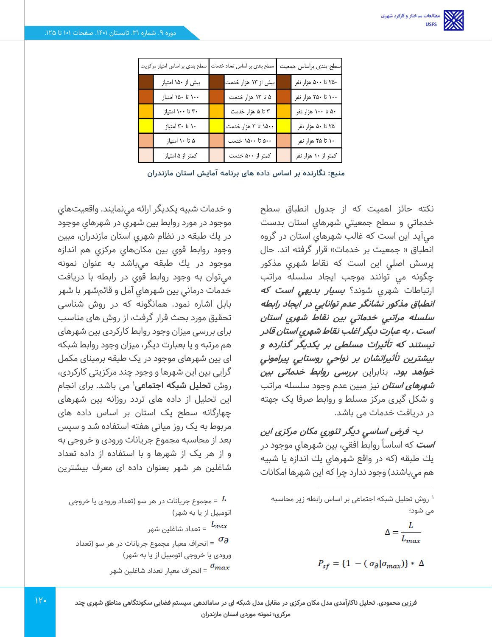| سطح بندی بر اساس امتیاز مرکزیت | سطح بندی بر اساس تعداد خدمات | سطح بندى براساس جمعيت |
|--------------------------------|------------------------------|-----------------------|
| بیش از ۱۵۰ امتیاز              | بیش از ۱۳ هزار خدمت          | ۲۵۰ تا ۵۰۰ هزار نفر   |
| ۱۰۰ تا ۱۵۰ امتیاز              | ۵ تا ۱۳ هزار خدمت            | ۱۰۰ تا ۲۵۰ هزار نفر   |
| ۳۰ تا ۱۰۰ امتیاز               | ۳ تا ۵ هزار خدمت             | ۵۰ تا ۱۰۰ هزار نفر    |
| ۱۰ تا ۳۰ امتیاز                | ۱۵۰۰ تا ۳ هزار خدمت          | ۲۵ تا ۵۰ هزار نفر     |
| ۵ تا ۱۰ امتياز                 | ۵۰۰ تا ۱۵۰۰ خدمت             | ۱۰ تا ۲۵ هزار نفر     |
| كمتر از ۵ امتياز               | کمتر از ۵۰۰ خدمت             | کمتر از ۱۰ هزار نفر   |

**منبع: نگارنده بر اساس داده های برنامه آمایش استان مازندران** 

نكته حائز اهميت كه از جدول انطباق سطح خدماتي و سطح جمعيتي شهرهاي استان بدست ميآيد اين است كه غالب شهرهاي استان در گروه انطباق « جمعيت بر خدمات» قرار گرفته اند. حال پرسش اصلي اين است كه نقاط شهري مذكور چگونه مي توانند موجب ايجاد سلسله مراتب ارتباطات شهري شوند؟ **بسيار بديهي است كه انطباق مذكور نشانگر عدم توانايي در ايجاد رابطه سلسله مراتبي خدماتي بين نقاط شهري استان است . به عبارت ديگر اغلب نقاط شهري استان قادر نيستند كه تأثيرات مسلطی بر يكديگر گذارده <sup>و</sup> بيشترين تأثيراتشان بر نواحي روستايي پيراموني خواهد بود.** بنابراین **بررسی روابط خدماتی بین شهرهای استان** نیز مبین عدم وجود سلسله مراتب و شکل گیری مرکز مسلط و روابط صرفا یک جهته در دریافت خدمات می باشد.

**ب- فرض اساسي ديگر تئوري مکان مرکزی اين است** که اساساً روابط افقی، بین شهرهای موجود در يك طبقه (كه در واقع شهرهاي يك اندازه يا شبيه هم مي باشند) وجود ندارد چرا كه اين شهرها امكانات

$$
\Delta = \frac{L}{L_{max}}
$$

$$
P_{sf} = \{1 - (\sigma_{\partial} | \sigma_{max})\} * \Delta
$$

و خدمات شبيه يكديگر ارائه مينمايند. واقعيتهاي موجود در مورد روابط بين شهري در شهرهاي موجود در يك طبقه در نظام شهري استان مازندران، مبين وجود روابط قوي بين مكان هاي مركزي هم اندازه موجود در يك طبقه مي باشد به عنوان نمونه ميتوان به وجود روابط قوي در رابطه با دريافت خدمات درماني بين شهرهاي آمل و قائمشهر با شهر بابل اشاره نمود. همانگونه که در روش شناسی تحقیق مورد بحث قرار گرفت، از روش های مناسب برای بررسی میزان وجود روابط کارکردی بین شهرهای هم مرتبه و یا بعبارت دیگر، میزان وجود روابط شبکه ای بین شهرهای موجود در یک طبقه برمبنای مکمل گرایی بین این شهرها و وجود چند مرکزیتی کارکردی، روش **تحلیل شبکه اجتماعی**' می باشد. برای انجام این تحلیل از داده های تردد روزانه بین شهرهای چهارگانه سطح یک استان بر اساس داده های مربوط به یک روز میانی هفته استفاده شد و سپس بعد از محاسبه مجموع جریانات ورودی و خروجی به و از هر یک از شهرها و با استفاده از داده تعداد شاغلین هر شهر بعنوان داده ای معرف بیشترین

مجموع جریانات در هر سو (تعداد ورودی یا خروجی  $^{\prime}$ اتومبیل از یا به شهر)

تعداد شاغلین شهر =  $L_{max}$ 

انحراف معیار مجموع جریانات در هر سو (تعداد  $\sigma_{\bm{\partial}}$ ورودی یا خروجی اتومبیل از یا به شهر( انحراف معیار تعداد شاغلین شهر =  $\sigma_{max}$ 

<sup>1</sup> روش تحلیل شبکه اجتماعی بر اساس رابطه زیر محاسبه می شود؛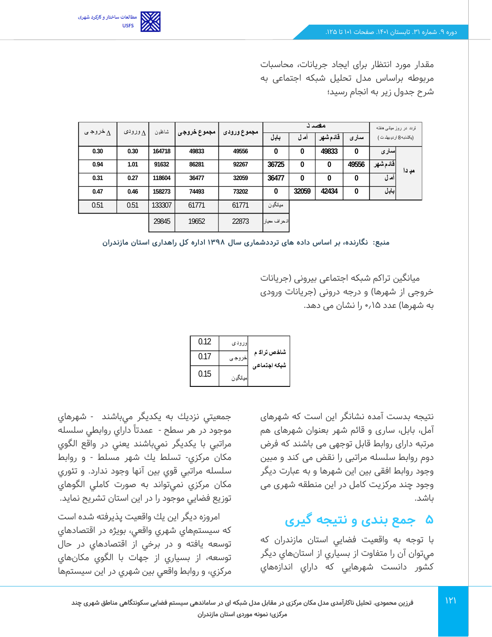

مقدار مورد انتظار برای ایجاد جریانات، محاسبات مربوطه براساس مدل تحلیل شبکه اجتماعی به شرح جدول زیر به انجام رسید؛

| خروجی $\wedge$ | $\Lambda$ ورودی | شاغلين | مجموع خروجى |             |              |       | مضدد    |       |           | تردد در روز میانی هفته |
|----------------|-----------------|--------|-------------|-------------|--------------|-------|---------|-------|-----------|------------------------|
|                |                 |        |             | مجموع ورودى | بابل         | ام ل  | فادمشهر | سدارى |           | (بكشنبه 8 ار ديبهشت)   |
| 0.30           | 0.30            | 164718 | 49833       | 49556       | 0            | 0     | 49833   | 0     | سارى      |                        |
| 0.94           | 1.01            | 91632  | 86281       | 92267       | 36725        | 0     | 0       | 49556 | أقادم شهر | مدِ دا                 |
| 0.31           | 0.27            | 118604 | 36477       | 32059       | 36477        | 0     | 0       | 0     | أمدل      |                        |
| 0.47           | 0.46            | 158273 | 74493       | 73202       | 0            | 32059 | 42434   | 0     | بابل      |                        |
| 0.51           | 0.51            | 133307 | 61771       | 61771       | ميانگين      |       |         |       |           |                        |
|                |                 | 29845  | 19652       | 22873       | انحراف معيار |       |         |       |           |                        |

**منبع: نگارنده، بر اساس داده های ترددشماری سال 1398 اداره کل راهداری استان مازندران** 

میانگین تراکم شبکه اجتماعی بیرونی )جریانات خروجی از شهرها) و درجه درونی (جریانات ورودی به شهرها) عدد ۱۵٫م را نشان می دهد.

| 0.12 | اور ود ی |                             |
|------|----------|-----------------------------|
| 0.17 | خروجى    | شاخص تراک م<br>شبكه اجتماعي |
| 0.15 | ميانگڍن  |                             |

نتیجه بدست آمده نشانگر این است که شهرهای آمل، بابل، ساری و قائم شهر بعنوان شهرهای هم مرتبه دارای روابط قابل توجهی می باشند که فرض دوم روابط سلسله مراتبی را نقض می کند و مبین وجود روابط افقی بین این شهرها و به عبارت دیگر وجود چند مرکزیت کامل در این منطقه شهری می باشد.

# **5 جمع بندی و نتیجه گیری**

با توجه به واقعيت فضايي استان مازندران كه ميتوان آن را متفاوت از بسياري از استان هاي ديگر كشور دانست شهرهايي كه داراي اندازههاي

جمعيتي نزديك به يكديگر ميباشند - شهرهاي موجود در هر سطح - عمدتا داراي روابطي سلسله مراتبي با يكديگر نمي باشند يعني در واقع الگوي مكان مركزي - تسلط يك شهر مسلط - و روابط سلسله مراتبي قوي بين آنها وجود ندارد. و تئوري مكان مركزي نمي تواند به صورت كاملي الگوهاي توزيع فضايي موجود را در اين استان تشريح نمايد.

امروزه ديگر اين يك واقعيت پذيرفته شده است كه سيستم هاي شهري واقعي، بويژه در اقتصادهاي توسعه يافته و در برخي از اقتصادهاي در حال توسعه، از بسياري از جهات با الگوي مكان هاي مركزي، و روابط واقعي بين شهري در اين سيستم ها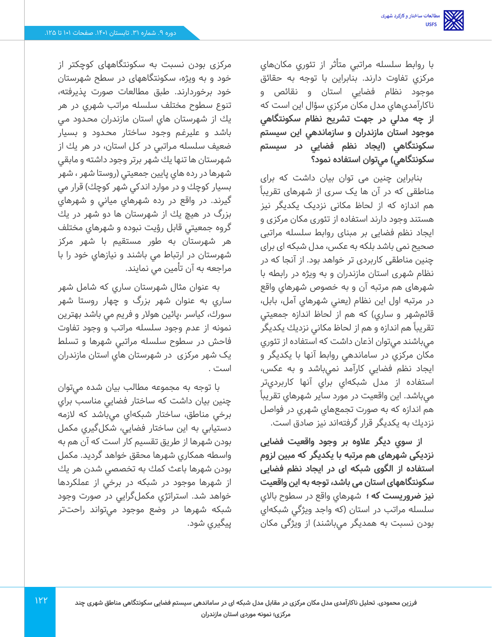با روابط سلسله مراتبي متأثر از تئوري مكان هاي مركزي تفاوت دارند. بنابراين با توجه به حقائق موجود نظام فضایي استان و نقائص و ناكارآمدي هاي مدل مكان مركزي سؤال اين است كه **از چه مدلي در جهت تشريح نظام سكونتگاهي موجود استان مازندران و سازماندهي اين سيستم سكونتگاهي )ايجاد نظم فضايي در سيستم سكونتگاهي( مي توان استفاده نمود؟** 

بنابراین چنین می توان بیان داشت که برای مناطقی که در آن ها یک سری از شهرهای تقریبا هم اندازه که از لحاظ مکانی نزدیک یکدیگر نیز هستند وجود دارند استفاده از تئوری مکان مرکزی و ایجاد نظم فضایی بر مبنای روابط سلسله مراتبی صحیح نمی باشد بلکه به عکس، مدل شبکه ای برای چنین مناطقی کاربردی تر خواهد بود. از آنجا که در نظام شهری استان مازندران و به ویژه در رابطه با شهرهای هم مرتبه آن و به خصوص شهرهاي واقع در مرتبه اول اين نظام )يعني شهرهاي آمل، بابل، قائمشهر و ساري) كه هم از لحاظ اندازه جمعيتي تقريبا هم اندازه و هم از لحاظ مكاني نزديك يكديگر ميباشند مي توان اذعان داشت كه استفاده از تئوري مكان مركزي در ساماند هي روابط آنها با يكديگر و ايجاد نظم فضايي كارآمد نمي باشد و به عكس، استفاده از مدل شبكهاي براي آنها كاربرديتر ميباشد. اين واقعيت در مورد ساير شهرهاي تقريبا هم اندازه كه به صورت تجمعهاي شهري در فواصل نزديك به يكديگر قرار گرفتهاند نيز صادق است.

**از سوي ديگر عالوه بر وجود واقعیت فضایی نزدیکی شهرهای هم مرتبه با یکدیگر که مبین لزوم استفاده از الگوی شبکه ای در ایجاد نظم فضایی سکونتگاههای استان می باشد، توجه به این واقعیت نیز ضروریست که ؛** شهرهاي واقع در سطوح باالي سلسله مراتب در استان )كه واجد ويژگي شبكه اي بودن نسبت به همديگر مي باشند( از ویژگی مکان

مرکزی بودن نسبت به سکونتگاههای کوچکتر از خود و به ویژه، سکونتگاههای در سطح شهرستان خود برخوردارند. طبق مطالعات صورت پذيرفته، تنوع سطوح مختلف سلسله مراتب شهري در هر يك از شهرستان هاي استان مازندران محـدود مـي باشد و عليرغـم وجـود ساختار محـدود و بسیار ضعیف سلسله مـراتبي در كـل استان، در هر يك از شهرستان ها تنها يك شهر برتر وجود داشته و مابقي شهرها در رده هاي پايين جمعيتي )روستا شهر ، شهر بسيار كوچك و در موارد اندكي شهر كوچك) قرار مي گيرند. در واقع در رده شهرهاي مياني و شهرهاي بزرگ در هيچ يك از شهرستان ها دو شهر در يك گروه جمعيتي قابل رؤيت نبوده و شهرهاي مختلف هر شهرستان به طور مستقيم با شهر مركز شهرستان در ارتباط مي باشند و نيازهاي خود را با مراجعه به آن تأمين مي نمايند.

به عنوان مثال شهرستان ساري كه شامل شهر ساري به عنوان شهر بزرگ و چهار روستا شهر سورك، كياسر ،پائین هوالر و فريم مي باشد بهترين نمونه از عدم وجود سلسله مراتب و وجود تفاوت فاحش در سطوح سلسله مراتبي شهرها و تسلط یک شهر مرکزی در شهرستان هاي استان مازندران است .

با توجه به مجموعه مطالب بيان شده مي توان چنين بيان داشت كه ساختار فضايي مناسب براي برخي مناطق، ساختار شبكهاي ميباشد كه الزمه دستيابي به اين ساختار فضايي، شكلگيري مكمل بودن شهرها از طريق تقسيم كار است كه آن هم به واسطه همكاري شهرها محقق خواهد گرديد. مكمل بودن شهرها باعث كمك به تخصصي شدن هر يك از شهرها موجود در شبكه در برخي از عملكردها خواهد شد. استراتژي مكملگرايي در صورت وجود شبكه شهرها در وضع موجود مي تواند راحتتر پيگيري شود.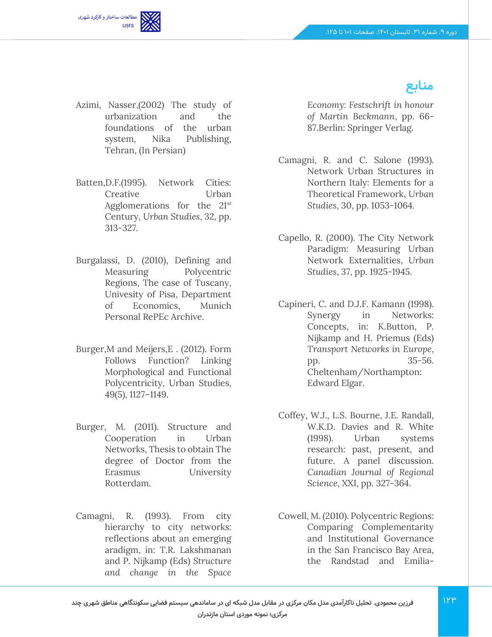**منابع**



- Azimi, Nasser,(2002) The study of urbanization and the foundations of the urban system, Nika Publishing, Tehran, (In Persian)
- Batten,D.F.(1995). Network Cities: Creative Urban Agglomerations for the 21st Century, *Urban Studies*, 32, pp. 313-327.
- Burgalassi, D. (2010), Defining and Measuring Polycentric Regions, The case of Tuscany, Univesity of Pisa, Department of Economics, Munich Personal RePEc Archive.
- Burger,M and Meijers,E . (2012). Form Follows Function? Linking Morphological and Functional Polycentricity, Urban Studies, 49(5), 1127–1149.
- Burger, M. (2011). Structure and Cooperation in Urban Networks, Thesis to obtain The degree of Doctor from the Erasmus University Rotterdam.
- Camagni, R. (1993). From city hierarchy to city networks: reflections about an emerging aradigm, in: T.R. Lakshmanan and P. Nijkamp (Eds) *Structure and change in the Space*

*Economy: Festschrift in honour of Martin Beckmann*, pp. 66- 87.Berlin: Springer Verlag.

- Camagni, R. and C. Salone (1993). Network Urban Structures in Northern Italy: Elements for a Theoretical Framework, *Urban Studies*, 30, pp. 1053-1064.
- Capello, R. (2000). The City Network Paradigm: Measuring Urban Network Externalities, *Urban Studies*, 37, pp. 1925-1945.
- Capineri, C. and D.J.F. Kamann (1998). Synergy in Networks: Concepts, in: K.Button, P. Nijkamp and H. Priemus (Eds) *Transport Networks in Europe*, pp. 35-56. Cheltenham/Northampton: Edward Elgar.
- Coffey, W.J., L.S. Bourne, J.E. Randall, W.K.D. Davies and R. White (1998). Urban systems research: past, present, and future. A panel discussion. *Canadian Journal of Regional Science*, XXI, pp. 327-364.
- Cowell, M. (2010). Polycentric Regions: Comparing Complementarity and Institutional Governance in the San Francisco Bay Area, the Randstad and Emilia-
- **فرزین محمودی. تحلیل ناکارآمدی مدل مکان مرکزی در مقابل مدل شبکه ای در ساماندهی سیستم فضایی سکونتگاهی مناطق شهری چند**

**مرکزی؛ نمونه موردی استان مازندران**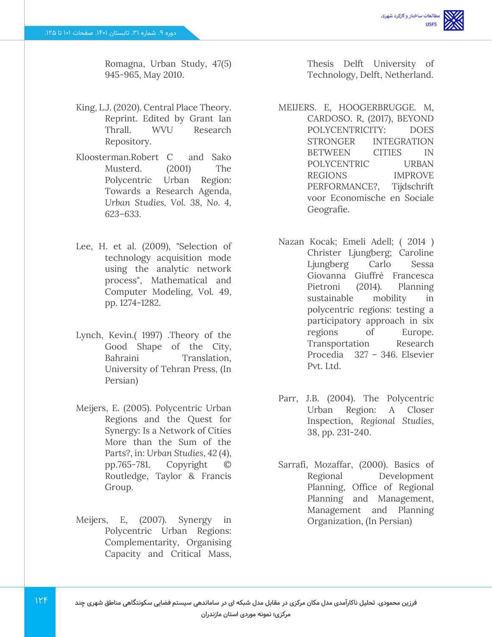Romagna, Urban Study, 47(5) 945-965, May 2010.

- King, L.J. (2020). Central Place Theory. Reprint. Edited by Grant Ian Thrall. WVU Research Repository.
- Kloosterman.Robert C and Sako Musterd. (2001) The Polycentric Urban Region: Towards a Research Agenda, *Urban Studies, Vol. 38, No. 4, 623–633*.
- Lee, H. et al. (2009), "Selection of technology acquisition mode using the analytic network process", Mathematical and Computer Modeling, Vol. 49, pp. 1274-1282.
- Lynch, Kevin.( 1997) .Theory of the Good Shape of the City, Bahraini Translation, University of Tehran Press, (In Persian)
- Meijers, E. (2005). Polycentric Urban Regions and the Quest for Synergy: Is a Network of Cities More than the Sum of the Parts?, in: *Urban Studies*, *42* (4), pp.765-781. Copyright © Routledge, Taylor & Francis Group.
- Meijers, E, (2007). Synergy in Polycentric Urban Regions: Complementarity, Organising Capacity and Critical Mass,

Thesis Delft University of Technology, Delft, Netherland.

- MEIJERS. E, HOOGERBRUGGE. M, CARDOSO. R, (2017), BEYOND POLYCENTRICITY: DOES STRONGER INTEGRATION BETWEEN CITIES IN POLYCENTRIC URBAN REGIONS IMPROVE PERFORMANCE?, Tijdschrift voor Economische en Sociale Geografie.
	- Nazan Kocak; Emeli Adell; ( 2014 ) Christer Ljungberg; Caroline Ljungberg Carlo Sessa Giovanna Giuffrè Francesca Pietroni (2014). Planning sustainable mobility in polycentric regions: testing a participatory approach in six regions of Europe. Transportation Research Procedia 327 – 346. Elsevier Pvt. Ltd.
	- Parr, J.B. (2004). The Polycentric Urban Region: A Closer Inspection, *Regional Studies*, 38, pp. 231-240.
- Sarrafi, Mozaffar, (2000). Basics of Regional Development Planning, Office of Regional Planning and Management, Management and Planning Organization, (In Persian)